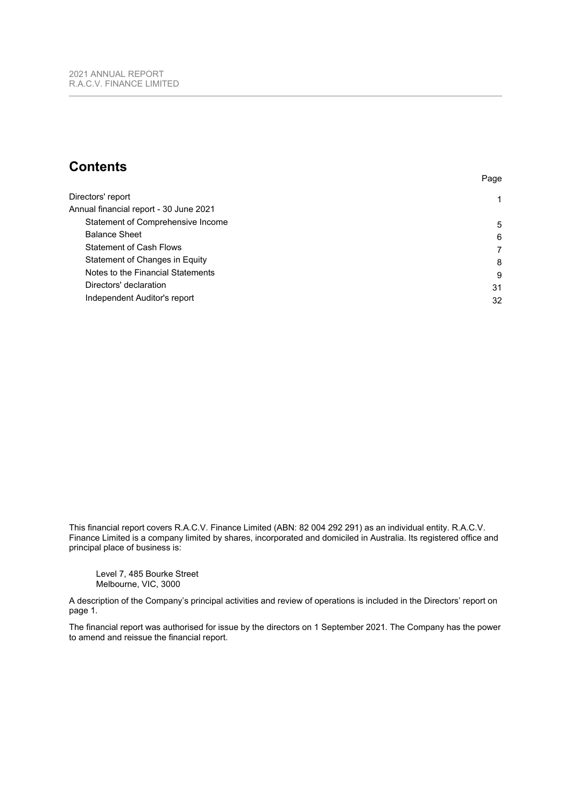# **Contents**

| Directors' report                      |    |
|----------------------------------------|----|
| Annual financial report - 30 June 2021 |    |
| Statement of Comprehensive Income      | 5  |
| <b>Balance Sheet</b>                   | 6  |
| <b>Statement of Cash Flows</b>         |    |
| Statement of Changes in Equity         | 8  |
| Notes to the Financial Statements      | 9  |
| Directors' declaration                 | 31 |
| Independent Auditor's report           | 32 |
|                                        |    |

Page

This financial report covers R.A.C.V. Finance Limited (ABN: 82 004 292 291) as an individual entity. R.A.C.V. Finance Limited is a company limited by shares, incorporated and domiciled in Australia. Its registered office and principal place of business is:

Level 7, 485 Bourke Street Melbourne, VIC, 3000

A description of the Company's principal activities and review of operations is included in the Directors' report on page [1.](#page-1-0)

The financial report was authorised for issue by the directors on 1 September 2021. The Company has the power to amend and reissue the financial report.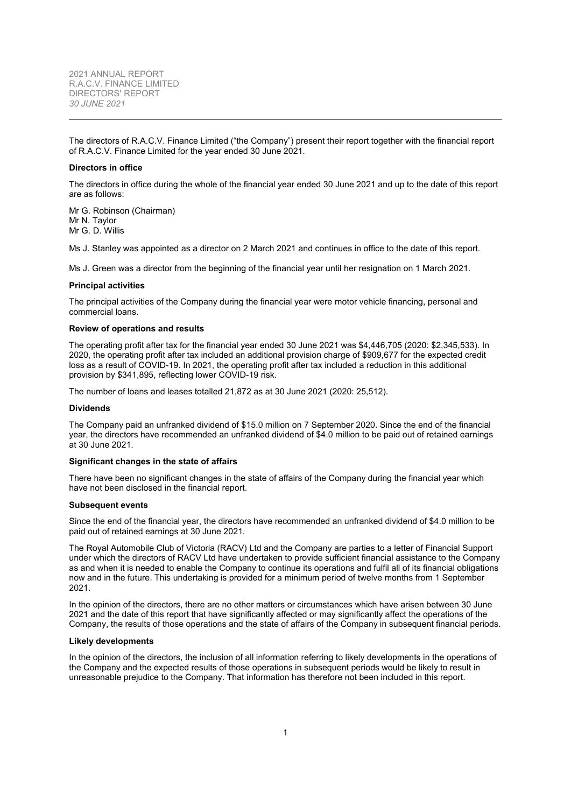<span id="page-1-0"></span>The directors of R.A.C.V. Finance Limited ("the Company") present their report together with the financial report of R.A.C.V. Finance Limited for the year ended 30 June 2021.

#### **Directors in office**

The directors in office during the whole of the financial year ended 30 June 2021 and up to the date of this report are as follows:

Mr G. Robinson (Chairman) Mr N. Taylor Mr G. D. Willis

Ms J. Stanley was appointed as a director on 2 March 2021 and continues in office to the date of this report.

Ms J. Green was a director from the beginning of the financial year until her resignation on 1 March 2021.

#### **Principal activities**

The principal activities of the Company during the financial year were motor vehicle financing, personal and commercial loans.

#### **Review of operations and results**

The operating profit after tax for the financial year ended 30 June 2021 was \$4,446,705 (2020: \$2,345,533). In 2020, the operating profit after tax included an additional provision charge of \$909,677 for the expected credit loss as a result of COVID-19. In 2021, the operating profit after tax included a reduction in this additional provision by \$341,895, reflecting lower COVID-19 risk.

The number of loans and leases totalled 21,872 as at 30 June 2021 (2020: 25,512).

#### **Dividends**

The Company paid an unfranked dividend of \$15.0 million on 7 September 2020. Since the end of the financial year, the directors have recommended an unfranked dividend of \$4.0 million to be paid out of retained earnings at 30 June 2021.

#### **Significant changes in the state of affairs**

There have been no significant changes in the state of affairs of the Company during the financial year which have not been disclosed in the financial report.

#### **Subsequent events**

Since the end of the financial year, the directors have recommended an unfranked dividend of \$4.0 million to be paid out of retained earnings at 30 June 2021.

The Royal Automobile Club of Victoria (RACV) Ltd and the Company are parties to a letter of Financial Support under which the directors of RACV Ltd have undertaken to provide sufficient financial assistance to the Company as and when it is needed to enable the Company to continue its operations and fulfil all of its financial obligations now and in the future. This undertaking is provided for a minimum period of twelve months from 1 September 2021.

In the opinion of the directors, there are no other matters or circumstances which have arisen between 30 June 2021 and the date of this report that have significantly affected or may significantly affect the operations of the Company, the results of those operations and the state of affairs of the Company in subsequent financial periods.

#### **Likely developments**

In the opinion of the directors, the inclusion of all information referring to likely developments in the operations of the Company and the expected results of those operations in subsequent periods would be likely to result in unreasonable prejudice to the Company. That information has therefore not been included in this report.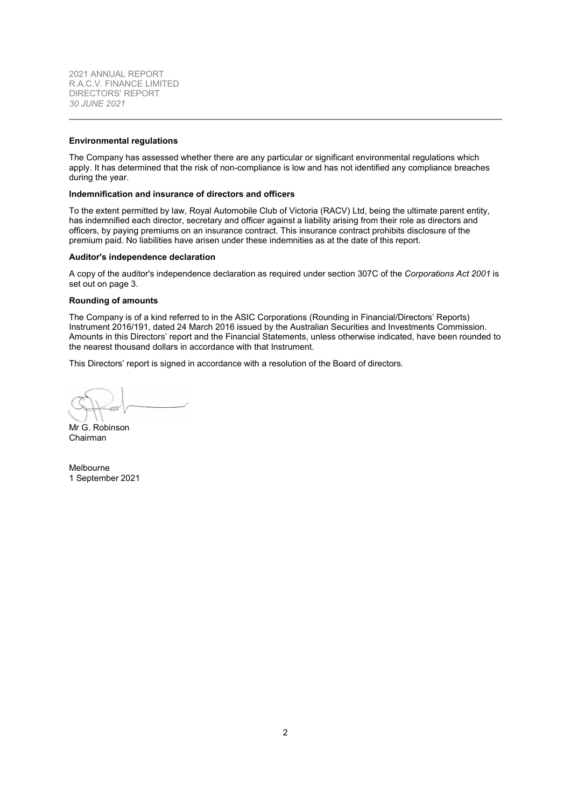2021 ANNUAL REPORT R.A.C.V. FINANCE LIMITED DIRECTORS' REPORT *30 JUNE 2021*

#### **Environmental regulations**

The Company has assessed whether there are any particular or significant environmental regulations which apply. It has determined that the risk of non-compliance is low and has not identified any compliance breaches during the year.

### **Indemnification and insurance of directors and officers**

To the extent permitted by law, Royal Automobile Club of Victoria (RACV) Ltd, being the ultimate parent entity, has indemnified each director, secretary and officer against a liability arising from their role as directors and officers, by paying premiums on an insurance contract. This insurance contract prohibits disclosure of the premium paid. No liabilities have arisen under these indemnities as at the date of this report.

#### <span id="page-2-0"></span>**Auditor's independence declaration**

A copy of the auditor's independence declaration as required under section 307C of the *Corporations Act 2001* is set out on page [3.](#page-2-0)

#### **Rounding of amounts**

The Company is of a kind referred to in the ASIC Corporations (Rounding in Financial/Directors' Reports) Instrument 2016/191, dated 24 March 2016 issued by the Australian Securities and Investments Commission. Amounts in this Directors' report and the Financial Statements, unless otherwise indicated, have been rounded to the nearest thousand dollars in accordance with that Instrument.

This Directors' report is signed in accordance with a resolution of the Board of directors.

Mr G. Robinson Chairman

Melbourne 1 September 2021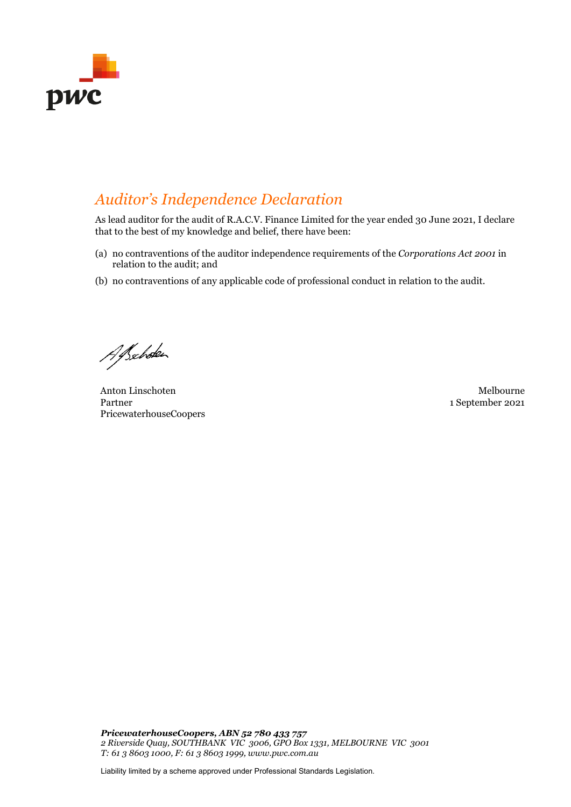

# *Auditor's Independence Declaration*

As lead auditor for the audit of R.A.C.V. Finance Limited for the year ended 30 June 2021, I declare that to the best of my knowledge and belief, there have been:

- (a) no contraventions of the auditor independence requirements of the *Corporations Act 2001* in relation to the audit; and
- (b) no contraventions of any applicable code of professional conduct in relation to the audit.

Alschoke

Anton Linschoten Melbourne Melbourne Melbourne Melbourne Melbourne Melbourne Melbourne Melbourne Melbourne Melbourne Melbourne Melbourne Melbourne Melbourne Melbourne Melbourne Melbourne Melbourne Melbourne Melbourne Melbo Partner PricewaterhouseCoopers

1 September 2021

*PricewaterhouseCoopers, ABN 52 780 433 757 2 Riverside Quay, SOUTHBANK VIC 3006, GPO Box 1331, MELBOURNE VIC 3001 T: 61 3 8603 1000, F: 61 3 8603 1999, www.pwc.com.au*

Liability limited by a scheme approved under Professional Standards Legislation.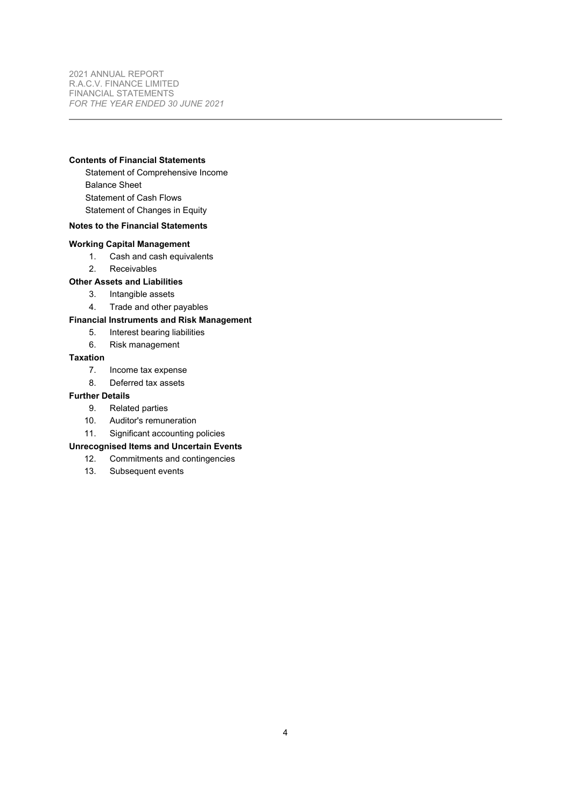<span id="page-4-0"></span>2021 ANNUAL REPORT R.A.C.V. FINANCE LIMITED FINANCIAL STATEMENTS *FOR THE YEAR ENDED 30 JUNE 2021*

## **Contents of Financial Statements**

Statement of Comprehensive Income Balance Sheet Statement of Cash Flows Statement of Changes in Equity

## **Notes to the Financial Statements**

#### **Working Capital Management**

- [1.](#page-9-1) Cash and cash equivalents
- [2.](#page-10-0) Receivables

## **Other Assets and Liabilities**

- [3.](#page-11-0) Intangible assets
- [4.](#page-11-1) Trade and other payables

## **Financial Instruments and Risk Management**

- [5.](#page-12-0) Interest bearing liabilities
- [6.](#page-13-0) Risk management

## **Taxation**

- [7.](#page-21-0) Income tax expense
- [8.](#page-22-0) Deferred tax assets

## **Further Details**

- [9.](#page-22-1) Related parties
- [10.](#page-24-0) Auditor's remuneration
- [11.](#page-25-0) Significant accounting policies

## **Unrecognised Items and Uncertain Events**

- [12.](#page-30-0) Commitments and contingencies
- [13.](#page-30-1) Subsequent events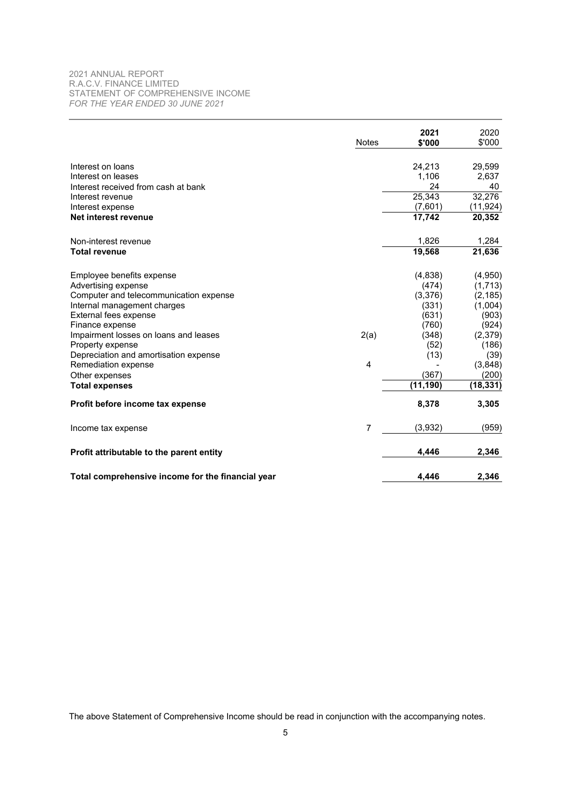## <span id="page-5-0"></span>2021 ANNUAL REPORT R.A.C.V. FINANCE LIMITED STATEMENT OF COMPREHENSIVE INCOME *FOR THE YEAR ENDED 30 JUNE 2021*

|                                                   | <b>Notes</b> | 2021<br>\$'000 | 2020<br>\$'000 |
|---------------------------------------------------|--------------|----------------|----------------|
|                                                   |              |                |                |
| Interest on loans                                 |              | 24,213         | 29,599         |
| Interest on leases                                |              | 1,106          | 2,637          |
| Interest received from cash at bank               |              | 24             | 40             |
| Interest revenue                                  |              | 25,343         | 32,276         |
| Interest expense                                  |              | (7,601)        | (11, 924)      |
| Net interest revenue                              |              | 17.742         | 20,352         |
| Non-interest revenue                              |              | 1,826          | 1,284          |
| <b>Total revenue</b>                              |              | 19,568         | 21,636         |
| Employee benefits expense                         |              | (4,838)        | (4,950)        |
| Advertising expense                               |              | (474)          | (1, 713)       |
| Computer and telecommunication expense            |              | (3,376)        | (2, 185)       |
| Internal management charges                       |              | (331)          | (1,004)        |
| External fees expense                             |              | (631)          | (903)          |
| Finance expense                                   |              | (760)          | (924)          |
| Impairment losses on loans and leases             | 2(a)         | (348)          | (2,379)        |
| Property expense                                  |              | (52)           | (186)          |
| Depreciation and amortisation expense             |              | (13)           | (39)           |
| Remediation expense                               | 4            |                | (3,848)        |
| Other expenses                                    |              | (367)          | (200)          |
| <b>Total expenses</b>                             |              | (11, 190)      | (18, 331)      |
| Profit before income tax expense                  |              | 8,378          | 3,305          |
| Income tax expense                                | 7            | (3,932)        | (959)          |
| Profit attributable to the parent entity          |              | 4.446          | 2,346          |
| Total comprehensive income for the financial year |              | 4,446          | 2,346          |

The above Statement of Comprehensive Income should be read in conjunction with the accompanying notes.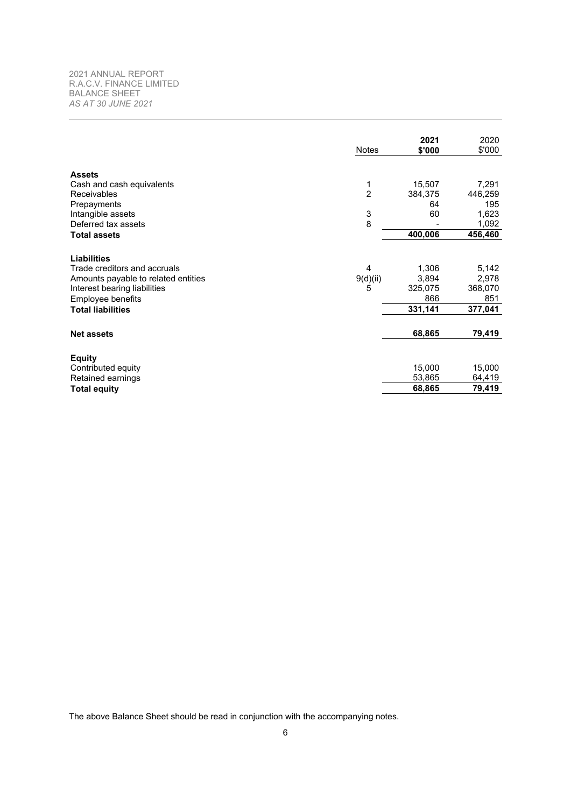<span id="page-6-0"></span>2021 ANNUAL REPORT R.A.C.V. FINANCE LIMITED BALANCE SHEET *AS AT 30 JUNE 2021*

|   |                                           | 7,291                                                                                     |
|---|-------------------------------------------|-------------------------------------------------------------------------------------------|
|   |                                           | 446,259                                                                                   |
|   |                                           | 195                                                                                       |
|   |                                           | 1,623<br>1,092                                                                            |
|   |                                           |                                                                                           |
|   |                                           | 456,460                                                                                   |
|   |                                           |                                                                                           |
| 4 |                                           | 5,142                                                                                     |
|   |                                           | 2,978                                                                                     |
| 5 |                                           | 368,070                                                                                   |
|   | 866                                       | 851                                                                                       |
|   | 331,141                                   | 377,041                                                                                   |
|   | 68,865                                    | 79,419                                                                                    |
|   |                                           |                                                                                           |
|   |                                           | 15,000                                                                                    |
|   | 53,865                                    | 64,419                                                                                    |
|   |                                           | 79,419                                                                                    |
|   | 1<br>$\overline{2}$<br>3<br>8<br>9(d)(ii) | 15,507<br>384,375<br>64<br>60<br>400,006<br>1,306<br>3,894<br>325,075<br>15,000<br>68,865 |

The above Balance Sheet should be read in conjunction with the accompanying notes.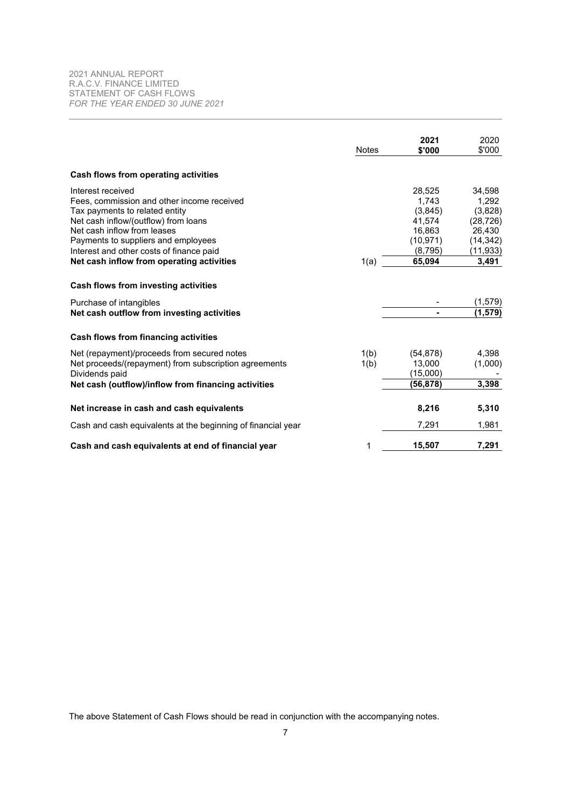<span id="page-7-0"></span>

|                                                              | <b>Notes</b> | 2021<br>\$'000 | 2020<br>\$'000 |
|--------------------------------------------------------------|--------------|----------------|----------------|
| Cash flows from operating activities                         |              |                |                |
| Interest received                                            |              | 28,525         | 34,598         |
| Fees, commission and other income received                   |              | 1.743          | 1,292          |
| Tax payments to related entity                               |              | (3,845)        | (3,828)        |
| Net cash inflow/(outflow) from loans                         |              | 41,574         | (28, 726)      |
| Net cash inflow from leases                                  |              | 16,863         | 26,430         |
| Payments to suppliers and employees                          |              | (10, 971)      | (14, 342)      |
| Interest and other costs of finance paid                     |              | (8,795)        | (11, 933)      |
| Net cash inflow from operating activities                    | 1(a)         | 65,094         | 3,491          |
| Cash flows from investing activities                         |              |                |                |
| Purchase of intangibles                                      |              |                | (1, 579)       |
| Net cash outflow from investing activities                   |              | Ξ.             | (1,579)        |
| Cash flows from financing activities                         |              |                |                |
| Net (repayment)/proceeds from secured notes                  | 1(b)         | (54, 878)      | 4,398          |
| Net proceeds/(repayment) from subscription agreements        | 1(b)         | 13,000         | (1,000)        |
| Dividends paid                                               |              | (15,000)       |                |
| Net cash (outflow)/inflow from financing activities          |              | (56,878)       | 3,398          |
| Net increase in cash and cash equivalents                    |              | 8,216          | 5,310          |
| Cash and cash equivalents at the beginning of financial year |              | 7,291          | 1,981          |
| Cash and cash equivalents at end of financial year           | 1            | 15,507         | 7,291          |

The above Statement of Cash Flows should be read in conjunction with the accompanying notes.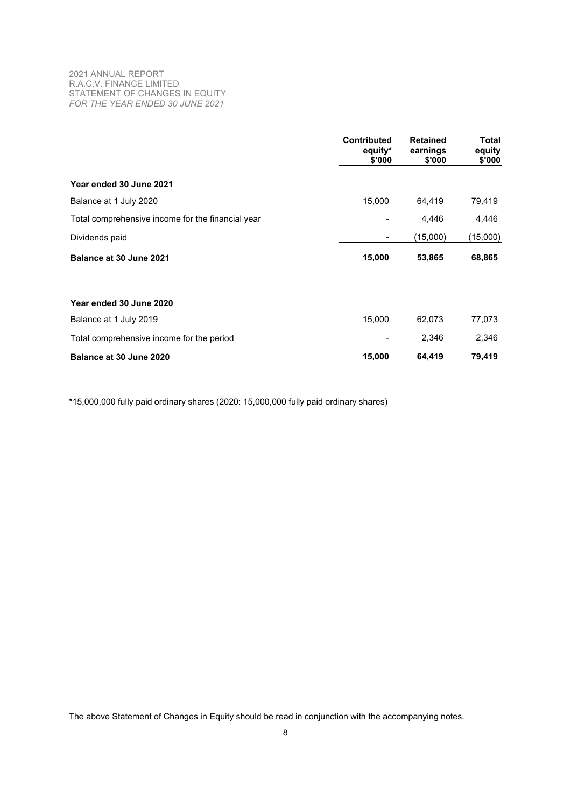<span id="page-8-0"></span>

|                                                   | <b>Contributed</b><br>equity*<br>\$'000 | <b>Retained</b><br>earnings<br>\$'000 | Total<br>equity<br>\$'000 |
|---------------------------------------------------|-----------------------------------------|---------------------------------------|---------------------------|
| Year ended 30 June 2021                           |                                         |                                       |                           |
| Balance at 1 July 2020                            | 15,000                                  | 64,419                                | 79,419                    |
| Total comprehensive income for the financial year |                                         | 4,446                                 | 4,446                     |
| Dividends paid                                    |                                         | (15,000)                              | (15,000)                  |
| Balance at 30 June 2021                           | 15,000                                  | 53,865                                | 68,865                    |
| Year ended 30 June 2020                           |                                         |                                       |                           |
| Balance at 1 July 2019                            | 15,000                                  | 62,073                                | 77,073                    |
| Total comprehensive income for the period         |                                         | 2,346                                 | 2,346                     |
| Balance at 30 June 2020                           | 15,000                                  | 64,419                                | 79,419                    |

\*15,000,000 fully paid ordinary shares (2020: 15,000,000 fully paid ordinary shares)

The above Statement of Changes in Equity should be read in conjunction with the accompanying notes.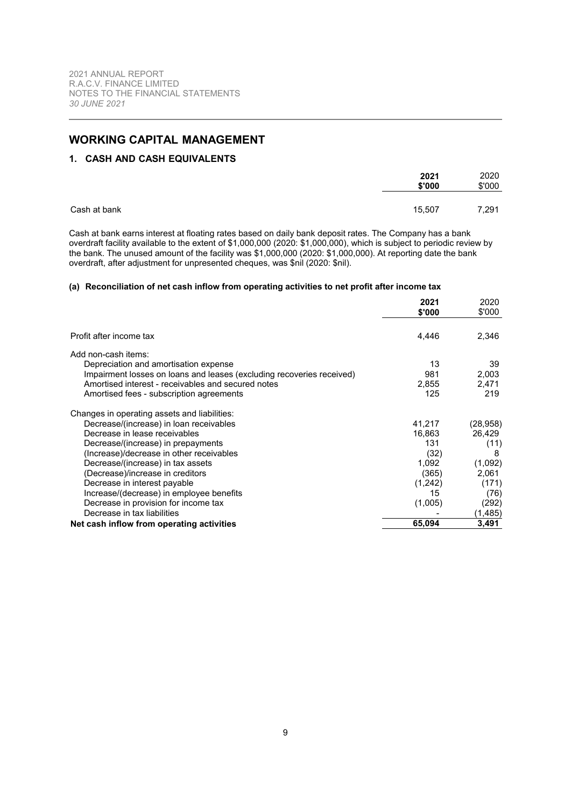# <span id="page-9-1"></span><span id="page-9-0"></span>**WORKING CAPITAL MANAGEMENT**

## **1. CASH AND CASH EQUIVALENTS**

|              | 2021<br>\$'000 | 2020<br>\$'000 |
|--------------|----------------|----------------|
| Cash at bank | 15,507         | 7,291          |

Cash at bank earns interest at floating rates based on daily bank deposit rates. The Company has a bank overdraft facility available to the extent of \$1,000,000 (2020: \$1,000,000), which is subject to periodic review by the bank. The unused amount of the facility was \$1,000,000 (2020: \$1,000,000). At reporting date the bank overdraft, after adjustment for unpresented cheques, was \$nil (2020: \$nil).

## <span id="page-9-2"></span>**(a) Reconciliation of net cash inflow from operating activities to net profit after income tax**

|                                                                       | 2021<br>\$'000 | 2020<br>\$'000 |
|-----------------------------------------------------------------------|----------------|----------------|
| Profit after income tax                                               | 4,446          | 2,346          |
| Add non-cash items:                                                   |                |                |
| Depreciation and amortisation expense                                 | 13             | 39             |
| Impairment losses on loans and leases (excluding recoveries received) | 981            | 2,003          |
| Amortised interest - receivables and secured notes                    | 2,855          | 2,471          |
| Amortised fees - subscription agreements                              | 125            | 219            |
| Changes in operating assets and liabilities:                          |                |                |
| Decrease/(increase) in loan receivables                               | 41,217         | (28, 958)      |
| Decrease in lease receivables                                         | 16,863         | 26,429         |
| Decrease/(increase) in prepayments                                    | 131            | (11)           |
| (Increase)/decrease in other receivables                              | (32)           | 8              |
| Decrease/(increase) in tax assets                                     | 1,092          | (1,092)        |
| (Decrease)/increase in creditors                                      | (365)          | 2,061          |
| Decrease in interest payable                                          | (1,242)        | (171)          |
| Increase/(decrease) in employee benefits                              | 15             | (76)           |
| Decrease in provision for income tax                                  | (1,005)        | (292)          |
| Decrease in tax liabilities                                           |                | (1,485)        |
| Net cash inflow from operating activities                             | 65,094         | 3,491          |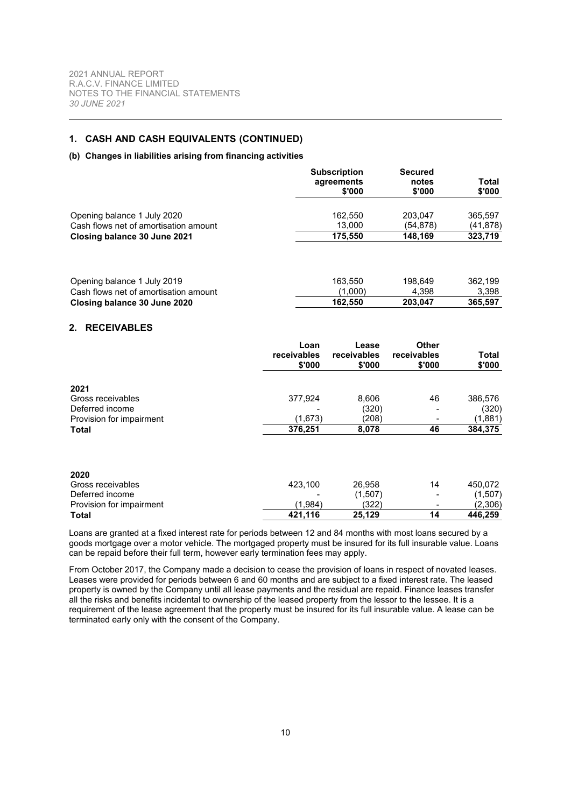## <span id="page-10-1"></span>**1. CASH AND CASH EQUIVALENTS (CONTINUED)**

## **(b) Changes in liabilities arising from financing activities**

<span id="page-10-0"></span>

|                                                                      |                               | <b>Subscription</b><br>agreements<br>\$'000 | <b>Secured</b><br>notes<br>\$'000 | <b>Total</b><br>\$'000 |
|----------------------------------------------------------------------|-------------------------------|---------------------------------------------|-----------------------------------|------------------------|
| Opening balance 1 July 2020<br>Cash flows net of amortisation amount |                               | 162,550<br>13,000                           | 203,047<br>(54, 878)              | 365,597<br>(41, 878)   |
| Closing balance 30 June 2021                                         |                               | 175,550                                     | 148,169                           | 323,719                |
| Opening balance 1 July 2019<br>Cash flows net of amortisation amount |                               | 163,550<br>(1,000)                          | 198,649<br>4,398                  | 362,199<br>3,398       |
| Closing balance 30 June 2020                                         |                               | 162,550                                     | 203,047                           | 365,597                |
| <b>RECEIVABLES</b><br>2.                                             |                               |                                             |                                   |                        |
|                                                                      | Loan<br>receivables<br>\$'000 | Lease<br>receivables<br>\$'000              | Other<br>receivables<br>\$'000    | <b>Total</b><br>\$'000 |
| 2021<br>Gross receivables<br>Deferred income                         | 377,924                       | 8,606<br>(320)                              | 46                                | 386,576<br>(320)       |
| Provision for impairment                                             | (1,673)                       | (208)                                       |                                   | (1,881)                |
| <b>Total</b>                                                         | 376,251                       | 8,078                                       | 46                                | 384,375                |
| 2020                                                                 |                               |                                             |                                   |                        |
| Gross receivables<br>Deferred income                                 | 423,100                       | 26,958<br>(1,507)                           | 14                                | 450,072<br>(1, 507)    |
| Provision for impairment                                             | (1,984)                       | (322)                                       |                                   | (2,306)                |

Loans are granted at a fixed interest rate for periods between 12 and 84 months with most loans secured by a goods mortgage over a motor vehicle. The mortgaged property must be insured for its full insurable value. Loans can be repaid before their full term, however early termination fees may apply.

**Total 421,116 25,129 14 446,259**

From October 2017, the Company made a decision to cease the provision of loans in respect of novated leases. Leases were provided for periods between 6 and 60 months and are subject to a fixed interest rate. The leased property is owned by the Company until all lease payments and the residual are repaid. Finance leases transfer all the risks and benefits incidental to ownership of the leased property from the lessor to the lessee. It is a requirement of the lease agreement that the property must be insured for its full insurable value. A lease can be terminated early only with the consent of the Company.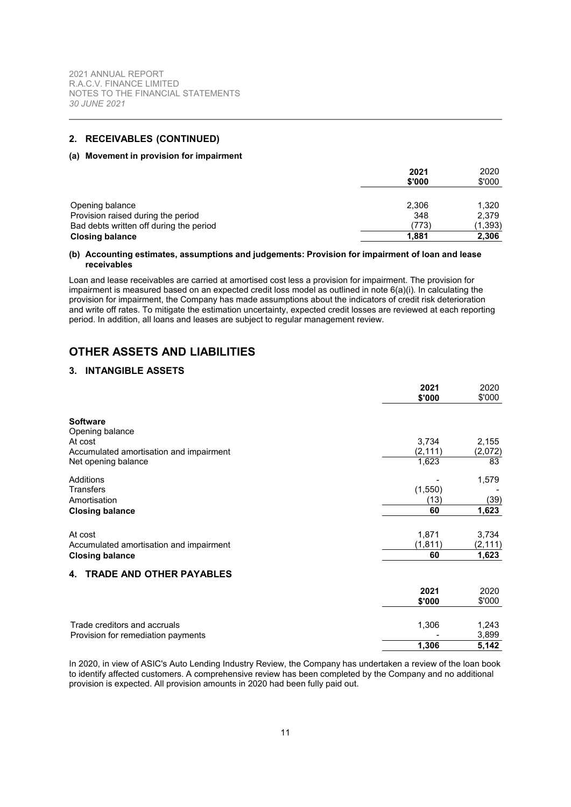## <span id="page-11-2"></span>**2. RECEIVABLES (CONTINUED)**

#### **(a) Movement in provision for impairment**

|                                         | 2021   | 2020    |
|-----------------------------------------|--------|---------|
|                                         | \$'000 | \$'000  |
|                                         |        |         |
| Opening balance                         | 2,306  | 1.320   |
| Provision raised during the period      | 348    | 2.379   |
| Bad debts written off during the period | (773)  | (1,393) |
| <b>Closing balance</b>                  | 1,881  | 2,306   |

#### **(b) Accounting estimates, assumptions and judgements: Provision for impairment of loan and lease receivables**

Loan and lease receivables are carried at amortised cost less a provision for impairment. The provision for impairment is measured based on an expected credit loss model as outlined in note [6\(a\)\(i\)](#page-13-1). In calculating the provision for impairment, the Company has made assumptions about the indicators of credit risk deterioration and write off rates. To mitigate the estimation uncertainty, expected credit losses are reviewed at each reporting period. In addition, all loans and leases are subject to regular management review.

# <span id="page-11-0"></span>**OTHER ASSETS AND LIABILITIES**

## **3. INTANGIBLE ASSETS**

|                                         | 2021<br>\$'000 | 2020<br>\$'000 |
|-----------------------------------------|----------------|----------------|
| <b>Software</b>                         |                |                |
| Opening balance                         |                |                |
| At cost                                 | 3,734          | 2,155          |
| Accumulated amortisation and impairment | (2, 111)       | (2,072)        |
| Net opening balance                     | 1,623          | 83             |
| Additions                               |                | 1,579          |
| Transfers                               | (1, 550)       |                |
| Amortisation                            | (13)           | (39)           |
| <b>Closing balance</b>                  | 60             | 1,623          |
| At cost                                 | 1,871          | 3,734          |
| Accumulated amortisation and impairment | (1, 811)       | (2, 111)       |
| <b>Closing balance</b>                  | 60             | 1,623          |
| 4. TRADE AND OTHER PAYABLES             |                |                |
|                                         | 2021           | 2020           |
|                                         | \$'000         | \$'000         |
|                                         |                |                |
| Trade creditors and accruals            | 1,306          | 1,243          |
| Provision for remediation payments      |                | 3,899          |
|                                         | 1,306          | 5,142          |

<span id="page-11-1"></span>In 2020, in view of ASIC's Auto Lending Industry Review, the Company has undertaken a review of the loan book to identify affected customers. A comprehensive review has been completed by the Company and no additional provision is expected. All provision amounts in 2020 had been fully paid out.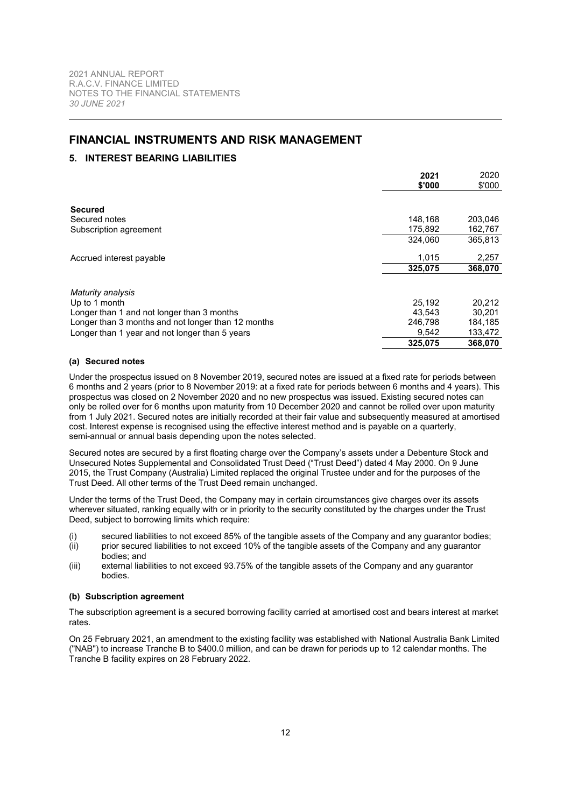# <span id="page-12-0"></span>**FINANCIAL INSTRUMENTS AND RISK MANAGEMENT**

## **5. INTEREST BEARING LIABILITIES**

|                                                    | 2021<br>\$'000 | 2020<br>\$'000 |
|----------------------------------------------------|----------------|----------------|
|                                                    |                |                |
| <b>Secured</b>                                     |                |                |
| Secured notes                                      | 148.168        | 203,046        |
| Subscription agreement                             | 175.892        | 162,767        |
|                                                    | 324.060        | 365.813        |
| Accrued interest payable                           | 1.015          | 2,257          |
|                                                    | 325,075        | 368,070        |
| Maturity analysis                                  |                |                |
| Up to 1 month                                      | 25.192         | 20,212         |
| Longer than 1 and not longer than 3 months         | 43.543         | 30.201         |
| Longer than 3 months and not longer than 12 months | 246,798        | 184,185        |
| Longer than 1 year and not longer than 5 years     | 9,542          | 133,472        |
|                                                    | 325,075        | 368,070        |

## <span id="page-12-2"></span>**(a) Secured notes**

Under the prospectus issued on 8 November 2019, secured notes are issued at a fixed rate for periods between 6 months and 2 years (prior to 8 November 2019: at a fixed rate for periods between 6 months and 4 years). This prospectus was closed on 2 November 2020 and no new prospectus was issued. Existing secured notes can only be rolled over for 6 months upon maturity from 10 December 2020 and cannot be rolled over upon maturity from 1 July 2021. Secured notes are initially recorded at their fair value and subsequently measured at amortised cost. Interest expense is recognised using the effective interest method and is payable on a quarterly, semi-annual or annual basis depending upon the notes selected.

Secured notes are secured by a first floating charge over the Company's assets under a Debenture Stock and Unsecured Notes Supplemental and Consolidated Trust Deed ("Trust Deed") dated 4 May 2000. On 9 June 2015, the Trust Company (Australia) Limited replaced the original Trustee under and for the purposes of the Trust Deed. All other terms of the Trust Deed remain unchanged.

Under the terms of the Trust Deed, the Company may in certain circumstances give charges over its assets wherever situated, ranking equally with or in priority to the security constituted by the charges under the Trust Deed, subject to borrowing limits which require:

- (i) secured liabilities to not exceed 85% of the tangible assets of the Company and any guarantor bodies;
- (ii) prior secured liabilities to not exceed 10% of the tangible assets of the Company and any guarantor bodies; and
- <span id="page-12-1"></span>(iii) external liabilities to not exceed 93.75% of the tangible assets of the Company and any guarantor bodies.

## **(b) Subscription agreement**

The subscription agreement is a secured borrowing facility carried at amortised cost and bears interest at market rates.

On 25 February 2021, an amendment to the existing facility was established with National Australia Bank Limited ("NAB") to increase Tranche B to \$400.0 million, and can be drawn for periods up to 12 calendar months. The Tranche B facility expires on 28 February 2022.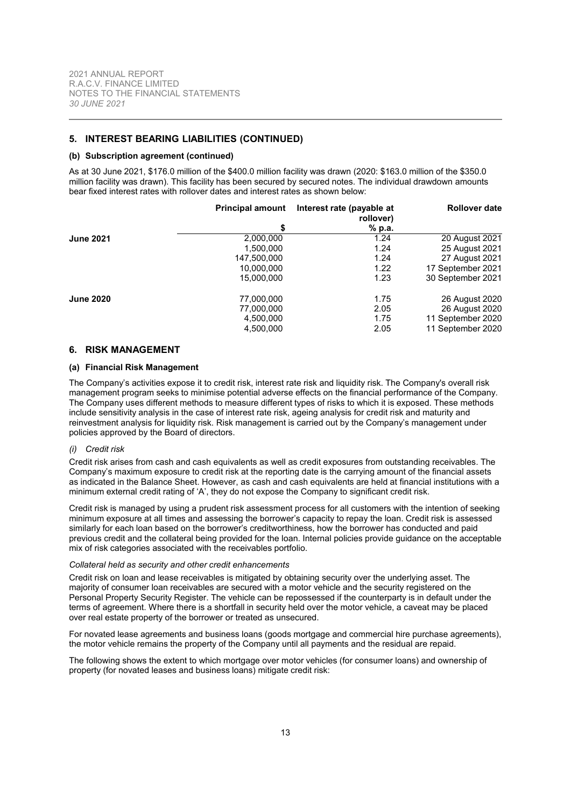## **5. INTEREST BEARING LIABILITIES (CONTINUED)**

#### **(b) Subscription agreement (continued)**

As at 30 June 2021, \$176.0 million of the \$400.0 million facility was drawn (2020: \$163.0 million of the \$350.0 million facility was drawn). This facility has been secured by secured notes. The individual drawdown amounts bear fixed interest rates with rollover dates and interest rates as shown below:

|                  | <b>Principal amount</b> | Interest rate (payable at<br>rollover) | <b>Rollover date</b> |
|------------------|-------------------------|----------------------------------------|----------------------|
|                  | S                       | % p.a.                                 |                      |
| <b>June 2021</b> | 2,000,000               | 1.24                                   | 20 August 2021       |
|                  | 1,500,000               | 1.24                                   | 25 August 2021       |
|                  | 147,500,000             | 1.24                                   | 27 August 2021       |
|                  | 10,000,000              | 1.22                                   | 17 September 2021    |
|                  | 15,000,000              | 1.23                                   | 30 September 2021    |
| <b>June 2020</b> | 77,000,000              | 1.75                                   | 26 August 2020       |
|                  | 77,000,000              | 2.05                                   | 26 August 2020       |
|                  | 4,500,000               | 1.75                                   | 11 September 2020    |
|                  | 4,500,000               | 2.05                                   | 11 September 2020    |

### <span id="page-13-0"></span>**6. RISK MANAGEMENT**

#### **(a) Financial Risk Management**

The Company's activities expose it to credit risk, interest rate risk and liquidity risk. The Company's overall risk management program seeks to minimise potential adverse effects on the financial performance of the Company. The Company uses different methods to measure different types of risks to which it is exposed. These methods include sensitivity analysis in the case of interest rate risk, ageing analysis for credit risk and maturity and reinvestment analysis for liquidity risk. Risk management is carried out by the Company's management under policies approved by the Board of directors.

## <span id="page-13-1"></span>*(i) Credit risk*

Credit risk arises from cash and cash equivalents as well as credit exposures from outstanding receivables. The Company's maximum exposure to credit risk at the reporting date is the carrying amount of the financial assets as indicated in the Balance Sheet. However, as cash and cash equivalents are held at financial institutions with a minimum external credit rating of 'A', they do not expose the Company to significant credit risk.

Credit risk is managed by using a prudent risk assessment process for all customers with the intention of seeking minimum exposure at all times and assessing the borrower's capacity to repay the loan. Credit risk is assessed similarly for each loan based on the borrower's creditworthiness, how the borrower has conducted and paid previous credit and the collateral being provided for the loan. Internal policies provide guidance on the acceptable mix of risk categories associated with the receivables portfolio.

#### *Collateral held as security and other credit enhancements*

Credit risk on loan and lease receivables is mitigated by obtaining security over the underlying asset. The majority of consumer loan receivables are secured with a motor vehicle and the security registered on the Personal Property Security Register. The vehicle can be repossessed if the counterparty is in default under the terms of agreement. Where there is a shortfall in security held over the motor vehicle, a caveat may be placed over real estate property of the borrower or treated as unsecured.

For novated lease agreements and business loans (goods mortgage and commercial hire purchase agreements), the motor vehicle remains the property of the Company until all payments and the residual are repaid.

The following shows the extent to which mortgage over motor vehicles (for consumer loans) and ownership of property (for novated leases and business loans) mitigate credit risk: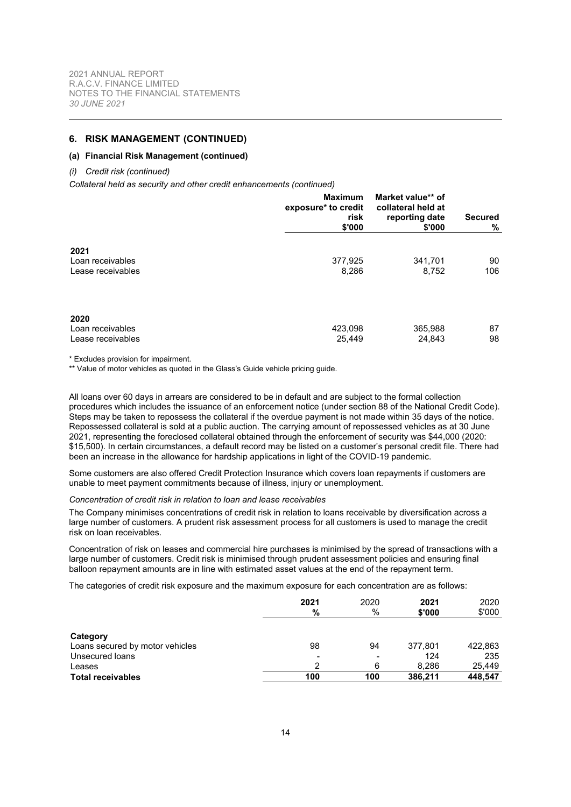## **6. RISK MANAGEMENT (CONTINUED)**

#### **(a) Financial Risk Management (continued)**

#### *(i) Credit risk (continued)*

*Collateral held as security and other credit enhancements (continued)*

|                                               | <b>Maximum</b><br>exposure* to credit<br>risk<br>\$'000 | Market value** of<br>collateral held at<br>reporting date<br>\$'000 | <b>Secured</b><br>% |
|-----------------------------------------------|---------------------------------------------------------|---------------------------------------------------------------------|---------------------|
| 2021<br>Loan receivables<br>Lease receivables | 377,925<br>8,286                                        | 341,701<br>8,752                                                    | 90<br>106           |
| 2020<br>Loan receivables<br>Lease receivables | 423,098<br>25,449                                       | 365,988<br>24,843                                                   | 87<br>98            |

\* Excludes provision for impairment.

\*\* Value of motor vehicles as quoted in the Glass's Guide vehicle pricing guide.

All loans over 60 days in arrears are considered to be in default and are subject to the formal collection procedures which includes the issuance of an enforcement notice (under section 88 of the National Credit Code). Steps may be taken to repossess the collateral if the overdue payment is not made within 35 days of the notice. Repossessed collateral is sold at a public auction. The carrying amount of repossessed vehicles as at 30 June 2021, representing the foreclosed collateral obtained through the enforcement of security was \$44,000 (2020: \$15,500). In certain circumstances, a default record may be listed on a customer's personal credit file. There had been an increase in the allowance for hardship applications in light of the COVID-19 pandemic.

Some customers are also offered Credit Protection Insurance which covers loan repayments if customers are unable to meet payment commitments because of illness, injury or unemployment.

#### *Concentration of credit risk in relation to loan and lease receivables*

The Company minimises concentrations of credit risk in relation to loans receivable by diversification across a large number of customers. A prudent risk assessment process for all customers is used to manage the credit risk on loan receivables.

Concentration of risk on leases and commercial hire purchases is minimised by the spread of transactions with a large number of customers. Credit risk is minimised through prudent assessment policies and ensuring final balloon repayment amounts are in line with estimated asset values at the end of the repayment term.

The categories of credit risk exposure and the maximum exposure for each concentration are as follows:

|                                 | 2021<br>%                | 2020<br>$\%$    | 2021<br>\$'000 | 2020<br>\$'000 |
|---------------------------------|--------------------------|-----------------|----------------|----------------|
| Category                        |                          |                 |                |                |
| Loans secured by motor vehicles | 98                       | 94              | 377,801        | 422,863        |
| Unsecured loans                 | $\overline{\phantom{0}}$ | $\qquad \qquad$ | 124            | 235            |
| Leases                          | ົ                        | 6               | 8.286          | 25,449         |
| <b>Total receivables</b>        | 100                      | 100             | 386,211        | 448,547        |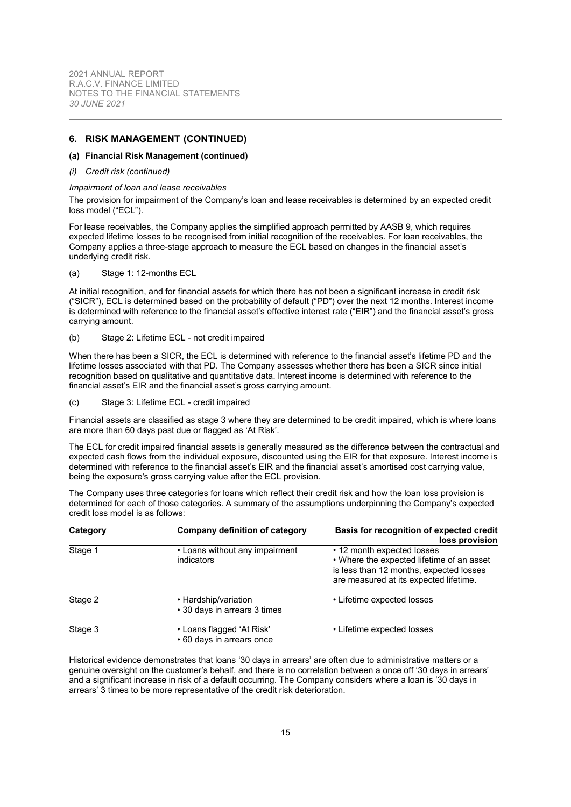## **6. RISK MANAGEMENT (CONTINUED)**

#### **(a) Financial Risk Management (continued)**

#### *(i) Credit risk (continued)*

#### *Impairment of loan and lease receivables*

The provision for impairment of the Company's loan and lease receivables is determined by an expected credit loss model ("ECL").

For lease receivables, the Company applies the simplified approach permitted by AASB 9, which requires expected lifetime losses to be recognised from initial recognition of the receivables. For loan receivables, the Company applies a three-stage approach to measure the ECL based on changes in the financial asset's underlying credit risk.

(a) Stage 1: 12-months ECL

At initial recognition, and for financial assets for which there has not been a significant increase in credit risk ("SICR"), ECL is determined based on the probability of default ("PD") over the next 12 months. Interest income is determined with reference to the financial asset's effective interest rate ("EIR") and the financial asset's gross carrying amount.

#### (b) Stage 2: Lifetime ECL - not credit impaired

When there has been a SICR, the ECL is determined with reference to the financial asset's lifetime PD and the lifetime losses associated with that PD. The Company assesses whether there has been a SICR since initial recognition based on qualitative and quantitative data. Interest income is determined with reference to the financial asset's EIR and the financial asset's gross carrying amount.

(c) Stage 3: Lifetime ECL - credit impaired

Financial assets are classified as stage 3 where they are determined to be credit impaired, which is where loans are more than 60 days past due or flagged as 'At Risk'.

The ECL for credit impaired financial assets is generally measured as the difference between the contractual and expected cash flows from the individual exposure, discounted using the EIR for that exposure. Interest income is determined with reference to the financial asset's EIR and the financial asset's amortised cost carrying value, being the exposure's gross carrying value after the ECL provision.

The Company uses three categories for loans which reflect their credit risk and how the loan loss provision is determined for each of those categories. A summary of the assumptions underpinning the Company's expected credit loss model is as follows:

| Category | Company definition of category                         | <b>Basis for recognition of expected credit</b><br>loss provision                                                                                            |
|----------|--------------------------------------------------------|--------------------------------------------------------------------------------------------------------------------------------------------------------------|
| Stage 1  | • Loans without any impairment<br>indicators           | • 12 month expected losses<br>• Where the expected lifetime of an asset<br>is less than 12 months, expected losses<br>are measured at its expected lifetime. |
| Stage 2  | • Hardship/variation<br>• 30 days in arrears 3 times   | • Lifetime expected losses                                                                                                                                   |
| Stage 3  | • Loans flagged 'At Risk'<br>• 60 days in arrears once | • Lifetime expected losses                                                                                                                                   |

Historical evidence demonstrates that loans '30 days in arrears' are often due to administrative matters or a genuine oversight on the customer's behalf, and there is no correlation between a once off '30 days in arrears' and a significant increase in risk of a default occurring. The Company considers where a loan is '30 days in arrears' 3 times to be more representative of the credit risk deterioration.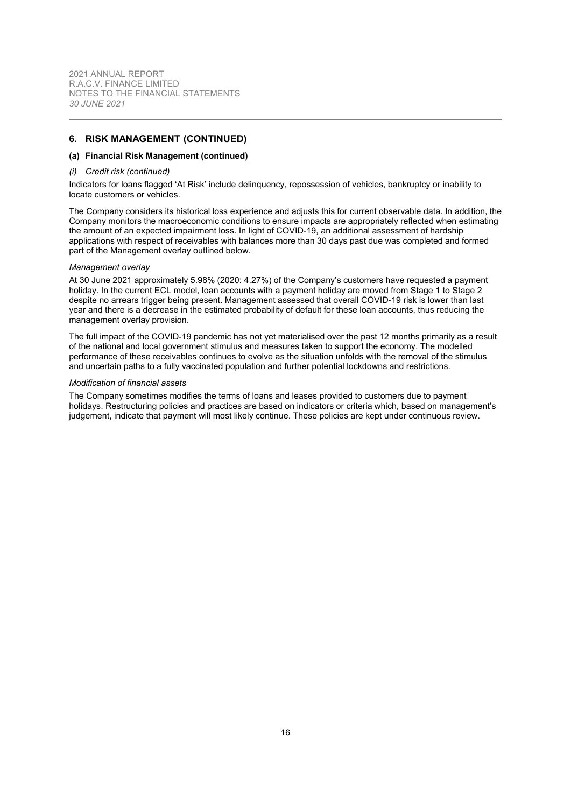## **6. RISK MANAGEMENT (CONTINUED)**

#### **(a) Financial Risk Management (continued)**

#### *(i) Credit risk (continued)*

Indicators for loans flagged 'At Risk' include delinquency, repossession of vehicles, bankruptcy or inability to locate customers or vehicles.

The Company considers its historical loss experience and adjusts this for current observable data. In addition, the Company monitors the macroeconomic conditions to ensure impacts are appropriately reflected when estimating the amount of an expected impairment loss. In light of COVID-19, an additional assessment of hardship applications with respect of receivables with balances more than 30 days past due was completed and formed part of the Management overlay outlined below.

#### *Management overlay*

At 30 June 2021 approximately 5.98% (2020: 4.27%) of the Company's customers have requested a payment holiday. In the current ECL model, loan accounts with a payment holiday are moved from Stage 1 to Stage 2 despite no arrears trigger being present. Management assessed that overall COVID-19 risk is lower than last year and there is a decrease in the estimated probability of default for these loan accounts, thus reducing the management overlay provision.

The full impact of the COVID-19 pandemic has not yet materialised over the past 12 months primarily as a result of the national and local government stimulus and measures taken to support the economy. The modelled performance of these receivables continues to evolve as the situation unfolds with the removal of the stimulus and uncertain paths to a fully vaccinated population and further potential lockdowns and restrictions.

### *Modification of financial assets*

The Company sometimes modifies the terms of loans and leases provided to customers due to payment holidays. Restructuring policies and practices are based on indicators or criteria which, based on management's judgement, indicate that payment will most likely continue. These policies are kept under continuous review.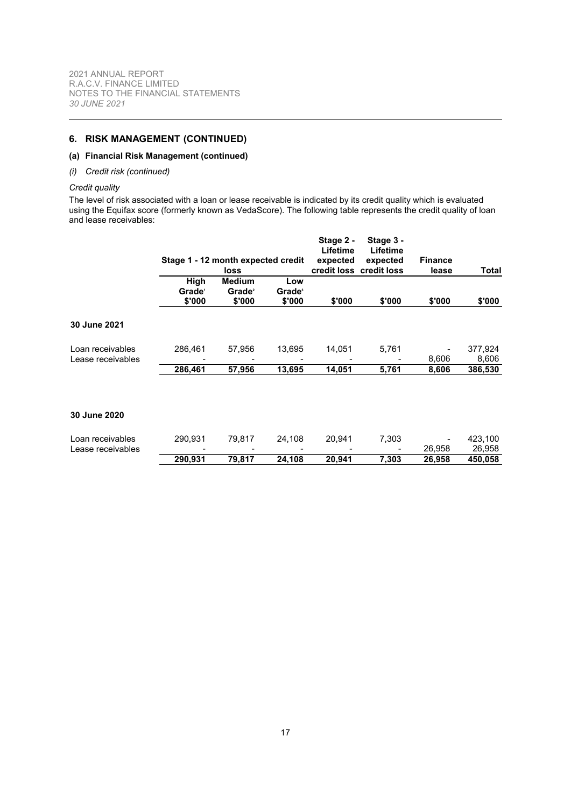## **6. RISK MANAGEMENT (CONTINUED)**

## **(a) Financial Risk Management (continued)**

## *(i) Credit risk (continued)*

## *Credit quality*

The level of risk associated with a loan or lease receivable is indicated by its credit quality which is evaluated using the Equifax score (formerly known as VedaScore). The following table represents the credit quality of loan and lease receivables:

|                                       |                                    |                       |                           | Stage 2 -<br>Lifetime | Stage 3 -<br>Lifetime   |                |                  |
|---------------------------------------|------------------------------------|-----------------------|---------------------------|-----------------------|-------------------------|----------------|------------------|
|                                       | Stage 1 - 12 month expected credit |                       |                           | expected              | expected                | <b>Finance</b> |                  |
|                                       | High                               | loss<br><b>Medium</b> | Low                       |                       | credit loss credit loss | lease          | Total            |
|                                       | Grade <sup>®</sup>                 | Grade <sup>2</sup>    | <b>Grade</b> <sup>3</sup> |                       |                         |                |                  |
|                                       | \$'000                             | \$'000                | \$'000                    | \$'000                | \$'000                  | \$'000         | \$'000           |
| <b>30 June 2021</b>                   |                                    |                       |                           |                       |                         |                |                  |
| Loan receivables<br>Lease receivables | 286,461                            | 57,956                | 13,695                    | 14,051                | 5,761                   | 8,606          | 377,924<br>8,606 |
|                                       | 286,461                            | 57,956                | 13,695                    | 14,051                | 5,761                   | 8,606          | 386,530          |
|                                       |                                    |                       |                           |                       |                         |                |                  |
| <b>30 June 2020</b>                   |                                    |                       |                           |                       |                         |                |                  |
| Loan receivables                      | 290.931                            | 79,817                | 24,108                    | 20,941                | 7,303                   |                | 423,100          |
| Lease receivables                     |                                    |                       |                           |                       |                         | 26,958         | 26,958           |
|                                       | 290,931                            | 79,817                | 24,108                    | 20,941                | 7,303                   | 26,958         | 450,058          |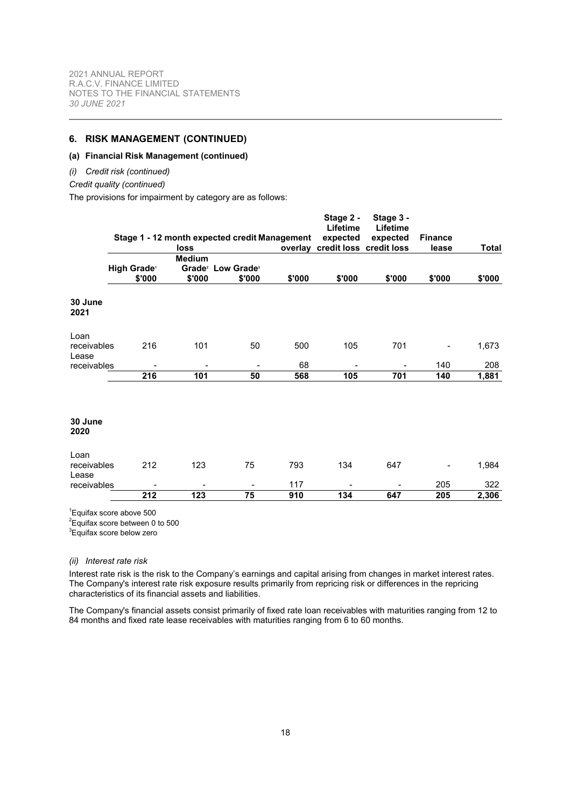## **6. RISK MANAGEMENT (CONTINUED)**

## **(a) Financial Risk Management (continued)**

#### *(i) Credit risk (continued)*

*Credit quality (continued)*

The provisions for impairment by category are as follows:

|                      |                         |               | Stage 1 - 12 month expected credit Management |        | Stage 2 -<br>Lifetime<br>expected | Stage 3 -<br>Lifetime<br>expected | <b>Finance</b> |              |
|----------------------|-------------------------|---------------|-----------------------------------------------|--------|-----------------------------------|-----------------------------------|----------------|--------------|
|                      |                         | loss          |                                               |        | overlay credit loss credit loss   |                                   | lease          | <b>Total</b> |
|                      |                         | <b>Medium</b> |                                               |        |                                   |                                   |                |              |
|                      | High Grade <sup>®</sup> |               | Grade <sup>2</sup> Low Grade <sup>3</sup>     |        |                                   |                                   |                |              |
|                      | \$'000                  | \$'000        | \$'000                                        | \$'000 | \$'000                            | \$'000                            | \$'000         | \$'000       |
| 30 June<br>2021      |                         |               |                                               |        |                                   |                                   |                |              |
| Loan                 |                         |               |                                               |        |                                   |                                   |                |              |
| receivables          | 216                     | 101           | 50                                            | 500    | 105                               | 701                               |                | 1,673        |
| Lease                |                         |               |                                               | 68     |                                   |                                   | 140            | 208          |
| receivables          | 216                     | 101           | 50                                            | 568    | 105                               | 701                               | 140            | 1,881        |
|                      |                         |               |                                               |        |                                   |                                   |                |              |
| 30 June<br>2020      |                         |               |                                               |        |                                   |                                   |                |              |
| Loan                 |                         |               |                                               |        |                                   |                                   |                |              |
| receivables<br>Lease | 212                     | 123           | 75                                            | 793    | 134                               | 647                               |                | 1,984        |
| receivables          |                         |               | $\blacksquare$                                | 117    |                                   |                                   | 205            | 322          |
|                      | 212                     | 123           | 75                                            | 910    | 134                               | 647                               | 205            | 2,306        |

1 Equifax score above 500

 $2$ Equifax score between 0 to 500

<sup>3</sup>Equifax score below zero

## *(ii) Interest rate risk*

Interest rate risk is the risk to the Company's earnings and capital arising from changes in market interest rates. The Company's interest rate risk exposure results primarily from repricing risk or differences in the repricing characteristics of its financial assets and liabilities.

The Company's financial assets consist primarily of fixed rate loan receivables with maturities ranging from 12 to 84 months and fixed rate lease receivables with maturities ranging from 6 to 60 months.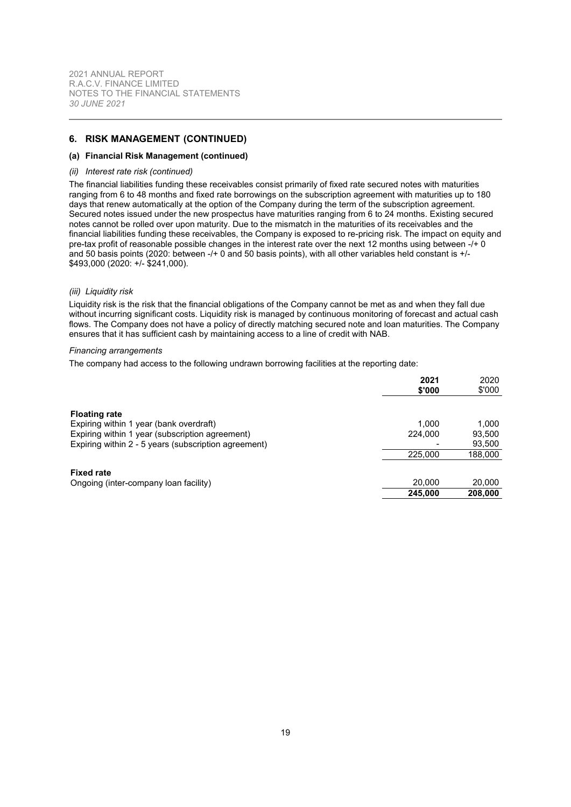## **6. RISK MANAGEMENT (CONTINUED)**

#### **(a) Financial Risk Management (continued)**

#### *(ii) Interest rate risk (continued)*

The financial liabilities funding these receivables consist primarily of fixed rate secured notes with maturities ranging from 6 to 48 months and fixed rate borrowings on the subscription agreement with maturities up to 180 days that renew automatically at the option of the Company during the term of the subscription agreement. Secured notes issued under the new prospectus have maturities ranging from 6 to 24 months. Existing secured notes cannot be rolled over upon maturity. Due to the mismatch in the maturities of its receivables and the financial liabilities funding these receivables, the Company is exposed to re-pricing risk. The impact on equity and pre-tax profit of reasonable possible changes in the interest rate over the next 12 months using between -/+ 0 and 50 basis points (2020: between -/+ 0 and 50 basis points), with all other variables held constant is +/- \$493,000 (2020: +/- \$241,000).

#### *(iii) Liquidity risk*

Liquidity risk is the risk that the financial obligations of the Company cannot be met as and when they fall due without incurring significant costs. Liquidity risk is managed by continuous monitoring of forecast and actual cash flows. The Company does not have a policy of directly matching secured note and loan maturities. The Company ensures that it has sufficient cash by maintaining access to a line of credit with NAB.

#### *Financing arrangements*

The company had access to the following undrawn borrowing facilities at the reporting date:

|                                                      | 2021<br>\$'000 | 2020<br>\$'000 |
|------------------------------------------------------|----------------|----------------|
| <b>Floating rate</b>                                 |                |                |
| Expiring within 1 year (bank overdraft)              | 1.000          | 1,000          |
| Expiring within 1 year (subscription agreement)      | 224,000        | 93,500         |
| Expiring within 2 - 5 years (subscription agreement) |                | 93,500         |
|                                                      | 225,000        | 188,000        |
| <b>Fixed rate</b>                                    |                |                |
| Ongoing (inter-company loan facility)                | 20,000         | 20,000         |
|                                                      | 245,000        | 208,000        |
|                                                      |                |                |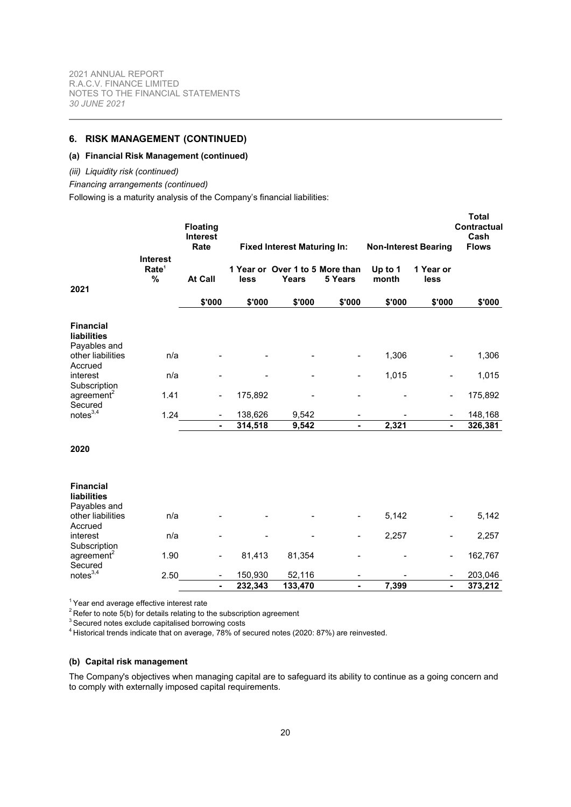## **6. RISK MANAGEMENT (CONTINUED)**

## **(a) Financial Risk Management (continued)**

#### *(iii) Liquidity risk (continued)*

*Financing arrangements (continued)*

Following is a maturity analysis of the Company's financial liabilities:

|                                                        |                                                       | <b>Floating</b><br><b>Interest</b><br>Rate |         | <b>Fixed Interest Maturing In:</b>       |                |                  | <b>Non-Interest Bearing</b> | <b>Total</b><br>Contractual<br>Cash<br><b>Flows</b> |
|--------------------------------------------------------|-------------------------------------------------------|--------------------------------------------|---------|------------------------------------------|----------------|------------------|-----------------------------|-----------------------------------------------------|
| 2021                                                   | <b>Interest</b><br>Rate <sup>1</sup><br>$\frac{9}{6}$ | <b>At Call</b>                             | less    | 1 Year or Over 1 to 5 More than<br>Years | 5 Years        | Up to 1<br>month | 1 Year or<br>less           |                                                     |
|                                                        |                                                       | \$'000                                     | \$'000  | \$'000                                   | \$'000         | \$'000           | \$'000                      | \$'000                                              |
| <b>Financial</b><br><b>liabilities</b><br>Payables and |                                                       |                                            |         |                                          |                |                  |                             |                                                     |
| other liabilities<br>Accrued                           | n/a                                                   |                                            |         |                                          |                | 1,306            |                             | 1,306                                               |
| interest<br>Subscription                               | n/a                                                   |                                            |         |                                          |                | 1,015            |                             | 1,015                                               |
| agreement <sup>2</sup><br>Secured                      | 1.41                                                  | $\overline{\phantom{a}}$                   | 175,892 |                                          |                |                  |                             | 175,892                                             |
| notes <sup>3,4</sup>                                   | 1.24                                                  |                                            | 138,626 | 9,542                                    |                |                  |                             | 148,168                                             |
|                                                        |                                                       |                                            | 314,518 | 9,542                                    | $\blacksquare$ | 2,321            |                             | 326,381                                             |
| 2020                                                   |                                                       |                                            |         |                                          |                |                  |                             |                                                     |
| <b>Financial</b><br><b>liabilities</b><br>Payables and |                                                       |                                            |         |                                          |                |                  |                             |                                                     |
| other liabilities<br>Accrued                           | n/a                                                   |                                            |         |                                          |                | 5,142            |                             | 5,142                                               |
| interest<br>Subscription                               | n/a                                                   |                                            |         |                                          |                | 2,257            |                             | 2,257                                               |
| agreement <sup>2</sup><br>Secured                      | 1.90                                                  | $\blacksquare$                             | 81,413  | 81,354                                   |                |                  |                             | 162,767                                             |
| notes <sup>3,4</sup>                                   | 2.50                                                  |                                            | 150,930 | 52,116                                   |                |                  |                             | 203,046                                             |
|                                                        |                                                       |                                            | 232,343 | 133,470                                  | ٠              | 7,399            |                             | 373,212                                             |

 $1$  Year end average effective interest rate

<sup>2</sup> Refer to note [5\(b\)](#page-12-1) for details relating to the subscription agreement

 $3$  Secured notes exclude capitalised borrowing costs

<sup>4</sup> Historical trends indicate that on average, 78% of secured notes (2020: 87%) are reinvested.

## **(b) Capital risk management**

The Company's objectives when managing capital are to safeguard its ability to continue as a going concern and to comply with externally imposed capital requirements.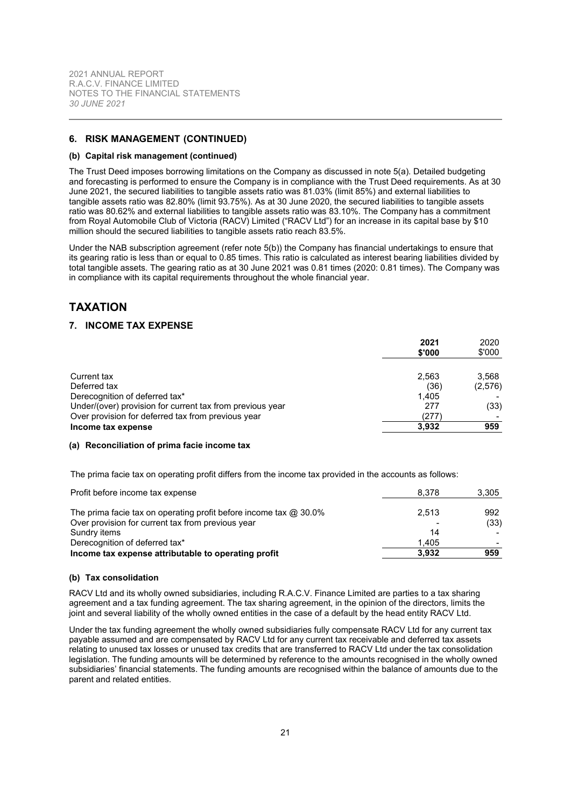## **6. RISK MANAGEMENT (CONTINUED)**

#### **(b) Capital risk management (continued)**

The Trust Deed imposes borrowing limitations on the Company as discussed in note [5\(a\).](#page-12-2) Detailed budgeting and forecasting is performed to ensure the Company is in compliance with the Trust Deed requirements. As at 30 June 2021, the secured liabilities to tangible assets ratio was 81.03% (limit 85%) and external liabilities to tangible assets ratio was 82.80% (limit 93.75%). As at 30 June 2020, the secured liabilities to tangible assets ratio was 80.62% and external liabilities to tangible assets ratio was 83.10%. The Company has a commitment from Royal Automobile Club of Victoria (RACV) Limited ("RACV Ltd") for an increase in its capital base by \$10 million should the secured liabilities to tangible assets ratio reach 83.5%.

Under the NAB subscription agreement (refer note [5\(b\)\)](#page-12-1) the Company has financial undertakings to ensure that its gearing ratio is less than or equal to 0.85 times. This ratio is calculated as interest bearing liabilities divided by total tangible assets. The gearing ratio as at 30 June 2021 was 0.81 times (2020: 0.81 times). The Company was in compliance with its capital requirements throughout the whole financial year.

## <span id="page-21-0"></span>**TAXATION**

## **7. INCOME TAX EXPENSE**

|                                                           | 2021<br>\$'000 | 2020<br>\$'000 |
|-----------------------------------------------------------|----------------|----------------|
| Current tax                                               | 2.563          | 3,568          |
| Deferred tax                                              | (36)           | (2,576)        |
| Derecognition of deferred tax*                            | 1.405          |                |
| Under/(over) provision for current tax from previous year | 277            | (33)           |
| Over provision for deferred tax from previous year        | (277)          |                |
| Income tax expense                                        | 3.932          | 959            |

#### **(a) Reconciliation of prima facie income tax**

The prima facie tax on operating profit differs from the income tax provided in the accounts as follows:

| Derecognition of deferred tax*<br>Income tax expense attributable to operating profit | 1.405<br>3.932 | 959   |
|---------------------------------------------------------------------------------------|----------------|-------|
| Sundry items                                                                          | 14             |       |
| Over provision for current tax from previous year                                     |                | (33)  |
| The prima facie tax on operating profit before income tax $@30.0\%$                   | 2.513          | 992   |
| Profit before income tax expense                                                      | 8.378          | 3,305 |

#### **(b) Tax consolidation**

RACV Ltd and its wholly owned subsidiaries, including R.A.C.V. Finance Limited are parties to a tax sharing agreement and a tax funding agreement. The tax sharing agreement, in the opinion of the directors, limits the joint and several liability of the wholly owned entities in the case of a default by the head entity RACV Ltd.

Under the tax funding agreement the wholly owned subsidiaries fully compensate RACV Ltd for any current tax payable assumed and are compensated by RACV Ltd for any current tax receivable and deferred tax assets relating to unused tax losses or unused tax credits that are transferred to RACV Ltd under the tax consolidation legislation. The funding amounts will be determined by reference to the amounts recognised in the wholly owned subsidiaries' financial statements. The funding amounts are recognised within the balance of amounts due to the parent and related entities.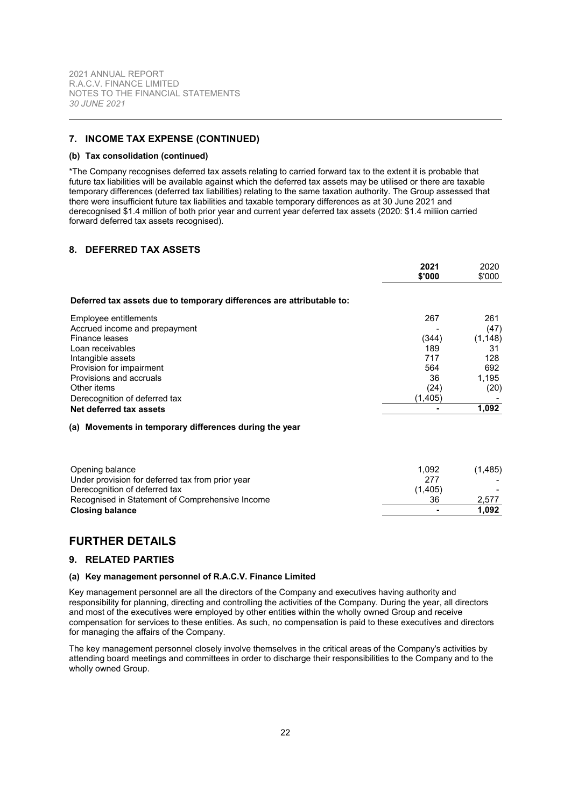## **7. INCOME TAX EXPENSE (CONTINUED)**

#### **(b) Tax consolidation (continued)**

\*The Company recognises deferred tax assets relating to carried forward tax to the extent it is probable that future tax liabilities will be available against which the deferred tax assets may be utilised or there are taxable temporary differences (deferred tax liabilities) relating to the same taxation authority. The Group assessed that there were insufficient future tax liabilities and taxable temporary differences as at 30 June 2021 and derecognised \$1.4 million of both prior year and current year deferred tax assets (2020: \$1.4 miliion carried forward deferred tax assets recognised).

## <span id="page-22-0"></span>**8. DEFERRED TAX ASSETS**

|                                                                       | 2021<br>\$'000 | 2020<br>\$'000 |
|-----------------------------------------------------------------------|----------------|----------------|
| Deferred tax assets due to temporary differences are attributable to: |                |                |
| Employee entitlements                                                 | 267            | 261            |
| Accrued income and prepayment                                         |                | (47)           |
| Finance leases                                                        | (344)          | (1, 148)       |
| Loan receivables                                                      | 189            | 31             |
| Intangible assets                                                     | 717            | 128            |
| Provision for impairment                                              | 564            | 692            |
| Provisions and accruals                                               | 36             | 1,195          |
| Other items                                                           | (24)           | (20)           |
| Derecognition of deferred tax                                         | (1, 405)       |                |
| Net deferred tax assets                                               |                | 1,092          |
| (a) Movements in temporary differences during the year                |                |                |
| Opening balance                                                       | 1,092          | (1, 485)       |
| Under provision for deferred tax from prior year                      | 277            |                |
| Derecognition of deferred tax                                         | (1, 405)       |                |
| Recognised in Statement of Comprehensive Income                       | 36             | 2,577          |
| Closing balance                                                       |                | 1,092          |

# <span id="page-22-1"></span>**FURTHER DETAILS**

#### **9. RELATED PARTIES**

## **(a) Key management personnel of R.A.C.V. Finance Limited**

Key management personnel are all the directors of the Company and executives having authority and responsibility for planning, directing and controlling the activities of the Company. During the year, all directors and most of the executives were employed by other entities within the wholly owned Group and receive compensation for services to these entities. As such, no compensation is paid to these executives and directors for managing the affairs of the Company.

**Closing balance - 1,092**

The key management personnel closely involve themselves in the critical areas of the Company's activities by attending board meetings and committees in order to discharge their responsibilities to the Company and to the wholly owned Group.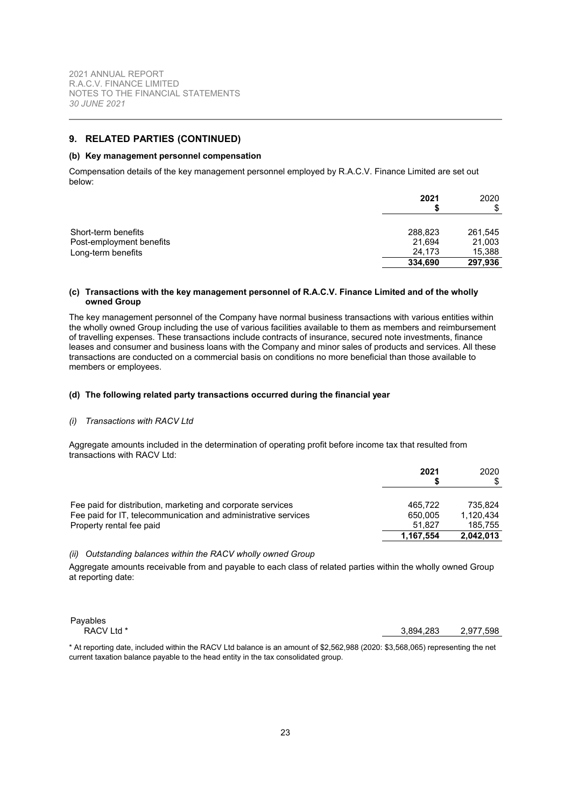## **9. RELATED PARTIES (CONTINUED)**

#### **(b) Key management personnel compensation**

Compensation details of the key management personnel employed by R.A.C.V. Finance Limited are set out below:

|                                                                       | 2021                                   | 2020<br>S                              |
|-----------------------------------------------------------------------|----------------------------------------|----------------------------------------|
| Short-term benefits<br>Post-employment benefits<br>Long-term benefits | 288,823<br>21,694<br>24.173<br>334,690 | 261,545<br>21,003<br>15,388<br>297,936 |

#### **(c) Transactions with the key management personnel of R.A.C.V. Finance Limited and of the wholly owned Group**

The key management personnel of the Company have normal business transactions with various entities within the wholly owned Group including the use of various facilities available to them as members and reimbursement of travelling expenses. These transactions include contracts of insurance, secured note investments, finance leases and consumer and business loans with the Company and minor sales of products and services. All these transactions are conducted on a commercial basis on conditions no more beneficial than those available to members or employees.

#### **(d) The following related party transactions occurred during the financial year**

#### *(i) Transactions with RACV Ltd*

Aggregate amounts included in the determination of operating profit before income tax that resulted from transactions with RACV Ltd:

|                                                                                                                                                           | 2021                         | 2020<br>\$                      |
|-----------------------------------------------------------------------------------------------------------------------------------------------------------|------------------------------|---------------------------------|
| Fee paid for distribution, marketing and corporate services<br>Fee paid for IT, telecommunication and administrative services<br>Property rental fee paid | 465.722<br>650.005<br>51.827 | 735.824<br>1.120.434<br>185.755 |
|                                                                                                                                                           | 1.167.554                    | 2.042.013                       |

#### <span id="page-23-0"></span>*(ii) Outstanding balances within the RACV wholly owned Group*

Aggregate amounts receivable from and payable to each class of related parties within the wholly owned Group at reporting date:

Payables

RACV Ltd \* 3,894,283 2,977,598

\* At reporting date, included within the RACV Ltd balance is an amount of \$2,562,988 (2020: \$3,568,065) representing the net current taxation balance payable to the head entity in the tax consolidated group.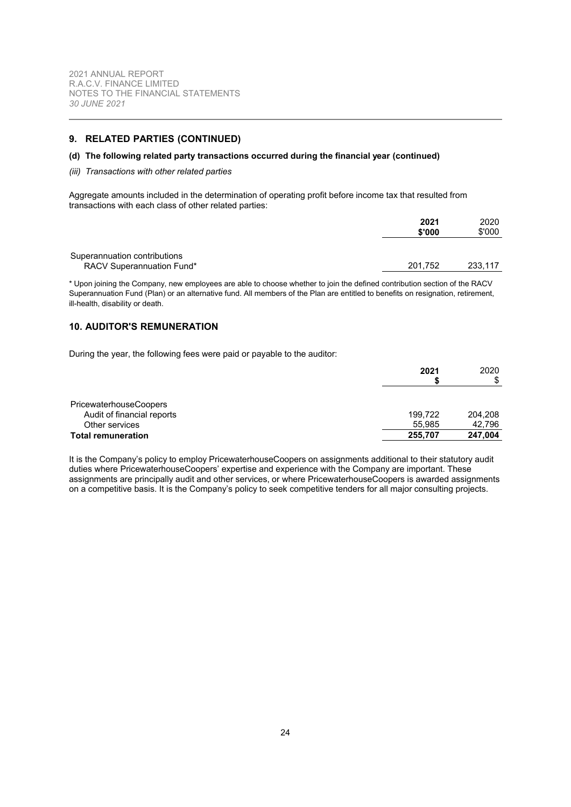## **9. RELATED PARTIES (CONTINUED)**

### **(d) The following related party transactions occurred during the financial year (continued)**

#### *(iii) Transactions with other related parties*

Aggregate amounts included in the determination of operating profit before income tax that resulted from transactions with each class of other related parties:

|                                  | 2021    | 2020    |
|----------------------------------|---------|---------|
|                                  | \$'000  | \$'000  |
|                                  |         |         |
| Superannuation contributions     |         |         |
| <b>RACV Superannuation Fund*</b> | 201.752 | 233.117 |
|                                  |         |         |

<span id="page-24-0"></span>\* Upon joining the Company, new employees are able to choose whether to join the defined contribution section of the RACV Superannuation Fund (Plan) or an alternative fund. All members of the Plan are entitled to benefits on resignation, retirement, ill-health, disability or death.

## **10. AUDITOR'S REMUNERATION**

During the year, the following fees were paid or payable to the auditor:

|                               | 2021    | 2020    |
|-------------------------------|---------|---------|
|                               |         | \$      |
|                               |         |         |
| <b>PricewaterhouseCoopers</b> |         |         |
| Audit of financial reports    | 199.722 | 204.208 |
| Other services                | 55.985  | 42.796  |
| <b>Total remuneration</b>     | 255,707 | 247,004 |

It is the Company's policy to employ PricewaterhouseCoopers on assignments additional to their statutory audit duties where PricewaterhouseCoopers' expertise and experience with the Company are important. These assignments are principally audit and other services, or where PricewaterhouseCoopers is awarded assignments on a competitive basis. It is the Company's policy to seek competitive tenders for all major consulting projects.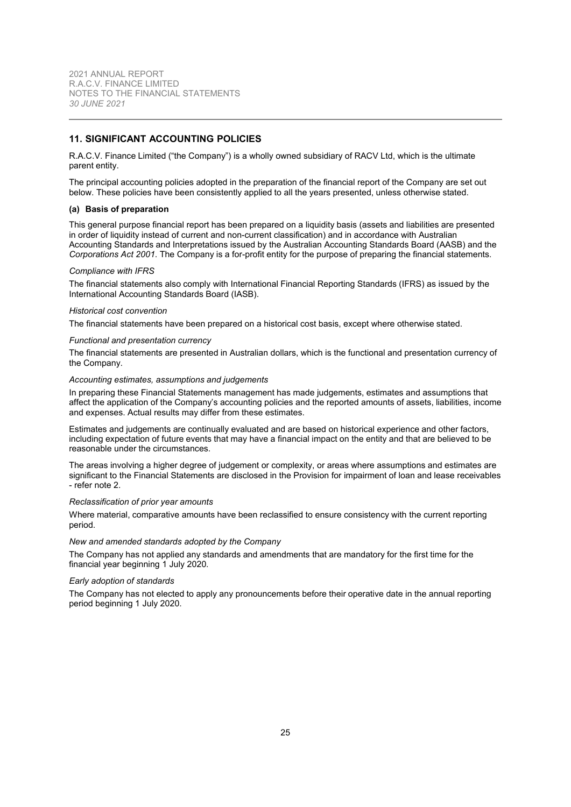## <span id="page-25-0"></span>**11. SIGNIFICANT ACCOUNTING POLICIES**

R.A.C.V. Finance Limited ("the Company") is a wholly owned subsidiary of RACV Ltd, which is the ultimate parent entity.

<span id="page-25-1"></span>The principal accounting policies adopted in the preparation of the financial report of the Company are set out below. These policies have been consistently applied to all the years presented, unless otherwise stated.

#### **(a) Basis of preparation**

This general purpose financial report has been prepared on a liquidity basis (assets and liabilities are presented in order of liquidity instead of current and non-current classification) and in accordance with Australian Accounting Standards and Interpretations issued by the Australian Accounting Standards Board (AASB) and the *Corporations Act 2001*. The Company is a for-profit entity for the purpose of preparing the financial statements.

#### *Compliance with IFRS*

The financial statements also comply with International Financial Reporting Standards (IFRS) as issued by the International Accounting Standards Board (IASB).

#### *Historical cost convention*

The financial statements have been prepared on a historical cost basis, except where otherwise stated.

#### *Functional and presentation currency*

The financial statements are presented in Australian dollars, which is the functional and presentation currency of the Company.

#### *Accounting estimates, assumptions and judgements*

In preparing these Financial Statements management has made judgements, estimates and assumptions that affect the application of the Company's accounting policies and the reported amounts of assets, liabilities, income and expenses. Actual results may differ from these estimates.

Estimates and judgements are continually evaluated and are based on historical experience and other factors, including expectation of future events that may have a financial impact on the entity and that are believed to be reasonable under the circumstances.

The areas involving a higher degree of judgement or complexity, or areas where assumptions and estimates are significant to the Financial Statements are disclosed in the Provision for impairment of loan and lease receivables - refer note [2.](#page-10-0)

#### *Reclassification of prior year amounts*

Where material, comparative amounts have been reclassified to ensure consistency with the current reporting period.

#### *New and amended standards adopted by the Company*

The Company has not applied any standards and amendments that are mandatory for the first time for the financial year beginning 1 July 2020.

#### *Early adoption of standards*

The Company has not elected to apply any pronouncements before their operative date in the annual reporting period beginning 1 July 2020.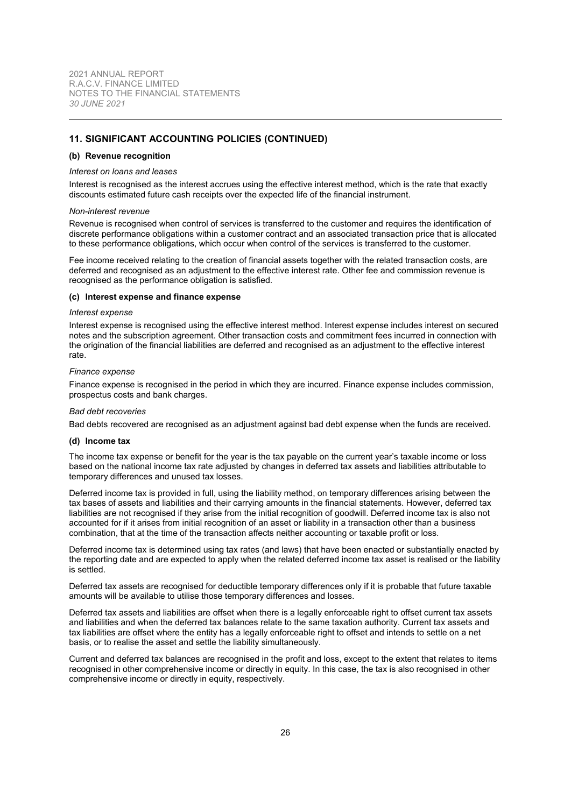## **11. SIGNIFICANT ACCOUNTING POLICIES (CONTINUED)**

#### **(b) Revenue recognition**

#### *Interest on loans and leases*

Interest is recognised as the interest accrues using the effective interest method, which is the rate that exactly discounts estimated future cash receipts over the expected life of the financial instrument.

#### *Non-interest revenue*

Revenue is recognised when control of services is transferred to the customer and requires the identification of discrete performance obligations within a customer contract and an associated transaction price that is allocated to these performance obligations, which occur when control of the services is transferred to the customer.

Fee income received relating to the creation of financial assets together with the related transaction costs, are deferred and recognised as an adjustment to the effective interest rate. Other fee and commission revenue is recognised as the performance obligation is satisfied.

#### **(c) Interest expense and finance expense**

#### *Interest expense*

Interest expense is recognised using the effective interest method. Interest expense includes interest on secured notes and the subscription agreement. Other transaction costs and commitment fees incurred in connection with the origination of the financial liabilities are deferred and recognised as an adjustment to the effective interest rate.

#### *Finance expense*

Finance expense is recognised in the period in which they are incurred. Finance expense includes commission, prospectus costs and bank charges.

#### *Bad debt recoveries*

Bad debts recovered are recognised as an adjustment against bad debt expense when the funds are received.

#### **(d) Income tax**

The income tax expense or benefit for the year is the tax payable on the current year's taxable income or loss based on the national income tax rate adjusted by changes in deferred tax assets and liabilities attributable to temporary differences and unused tax losses.

Deferred income tax is provided in full, using the liability method, on temporary differences arising between the tax bases of assets and liabilities and their carrying amounts in the financial statements. However, deferred tax liabilities are not recognised if they arise from the initial recognition of goodwill. Deferred income tax is also not accounted for if it arises from initial recognition of an asset or liability in a transaction other than a business combination, that at the time of the transaction affects neither accounting or taxable profit or loss.

Deferred income tax is determined using tax rates (and laws) that have been enacted or substantially enacted by the reporting date and are expected to apply when the related deferred income tax asset is realised or the liability is settled.

Deferred tax assets are recognised for deductible temporary differences only if it is probable that future taxable amounts will be available to utilise those temporary differences and losses.

Deferred tax assets and liabilities are offset when there is a legally enforceable right to offset current tax assets and liabilities and when the deferred tax balances relate to the same taxation authority. Current tax assets and tax liabilities are offset where the entity has a legally enforceable right to offset and intends to settle on a net basis, or to realise the asset and settle the liability simultaneously.

Current and deferred tax balances are recognised in the profit and loss, except to the extent that relates to items recognised in other comprehensive income or directly in equity. In this case, the tax is also recognised in other comprehensive income or directly in equity, respectively.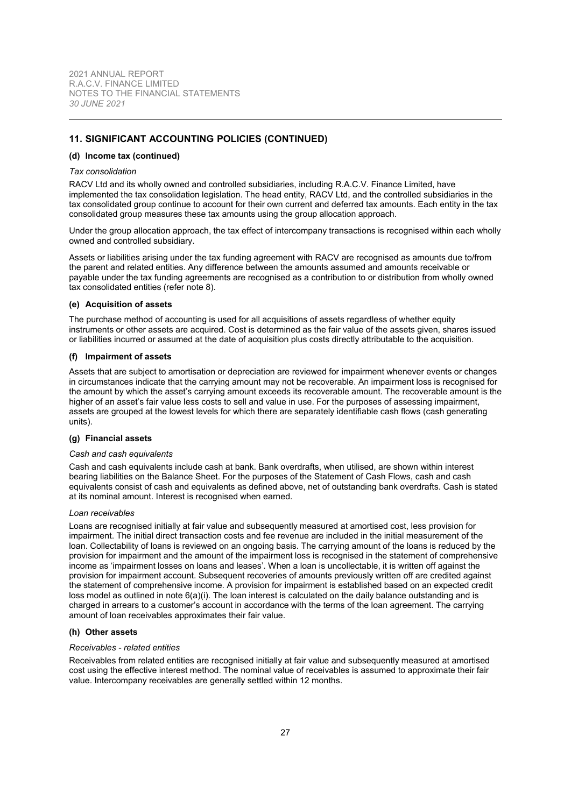## **11. SIGNIFICANT ACCOUNTING POLICIES (CONTINUED)**

#### **(d) Income tax (continued)**

#### *Tax consolidation*

RACV Ltd and its wholly owned and controlled subsidiaries, including R.A.C.V. Finance Limited, have implemented the tax consolidation legislation. The head entity, RACV Ltd, and the controlled subsidiaries in the tax consolidated group continue to account for their own current and deferred tax amounts. Each entity in the tax consolidated group measures these tax amounts using the group allocation approach.

Under the group allocation approach, the tax effect of intercompany transactions is recognised within each wholly owned and controlled subsidiary.

Assets or liabilities arising under the tax funding agreement with RACV are recognised as amounts due to/from the parent and related entities. Any difference between the amounts assumed and amounts receivable or payable under the tax funding agreements are recognised as a contribution to or distribution from wholly owned tax consolidated entities (refer note [8\)](#page-22-0).

#### **(e) Acquisition of assets**

<span id="page-27-0"></span>The purchase method of accounting is used for all acquisitions of assets regardless of whether equity instruments or other assets are acquired. Cost is determined as the fair value of the assets given, shares issued or liabilities incurred or assumed at the date of acquisition plus costs directly attributable to the acquisition.

#### **(f) Impairment of assets**

Assets that are subject to amortisation or depreciation are reviewed for impairment whenever events or changes in circumstances indicate that the carrying amount may not be recoverable. An impairment loss is recognised for the amount by which the asset's carrying amount exceeds its recoverable amount. The recoverable amount is the higher of an asset's fair value less costs to sell and value in use. For the purposes of assessing impairment, assets are grouped at the lowest levels for which there are separately identifiable cash flows (cash generating units).

## **(g) Financial assets**

#### *Cash and cash equivalents*

Cash and cash equivalents include cash at bank. Bank overdrafts, when utilised, are shown within interest bearing liabilities on the Balance Sheet. For the purposes of the Statement of Cash Flows, cash and cash equivalents consist of cash and equivalents as defined above, net of outstanding bank overdrafts. Cash is stated at its nominal amount. Interest is recognised when earned.

#### *Loan receivables*

Loans are recognised initially at fair value and subsequently measured at amortised cost, less provision for impairment. The initial direct transaction costs and fee revenue are included in the initial measurement of the loan. Collectability of loans is reviewed on an ongoing basis. The carrying amount of the loans is reduced by the provision for impairment and the amount of the impairment loss is recognised in the statement of comprehensive income as 'impairment losses on loans and leases'. When a loan is uncollectable, it is written off against the provision for impairment account. Subsequent recoveries of amounts previously written off are credited against the statement of comprehensive income. A provision for impairment is established based on an expected credit loss model as outlined in note [6\(a\)\(i\)](#page-13-1). The loan interest is calculated on the daily balance outstanding and is charged in arrears to a customer's account in accordance with the terms of the loan agreement. The carrying amount of loan receivables approximates their fair value.

#### **(h) Other assets**

#### *Receivables - related entities*

Receivables from related entities are recognised initially at fair value and subsequently measured at amortised cost using the effective interest method. The nominal value of receivables is assumed to approximate their fair value. Intercompany receivables are generally settled within 12 months.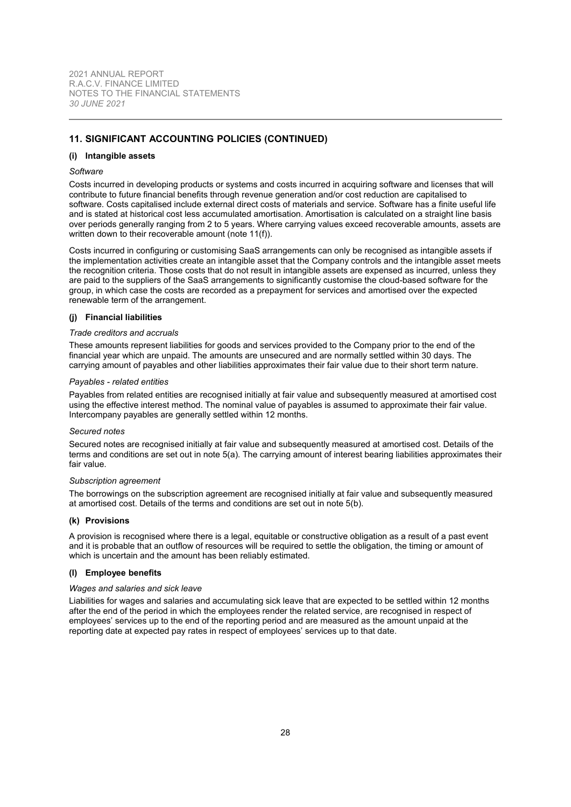## **11. SIGNIFICANT ACCOUNTING POLICIES (CONTINUED)**

#### **(i) Intangible assets**

#### *Software*

Costs incurred in developing products or systems and costs incurred in acquiring software and licenses that will contribute to future financial benefits through revenue generation and/or cost reduction are capitalised to software. Costs capitalised include external direct costs of materials and service. Software has a finite useful life and is stated at historical cost less accumulated amortisation. Amortisation is calculated on a straight line basis over periods generally ranging from 2 to 5 years. Where carrying values exceed recoverable amounts, assets are written down to their recoverable amount (note [11\(f\)](#page-27-0)).

Costs incurred in configuring or customising SaaS arrangements can only be recognised as intangible assets if the implementation activities create an intangible asset that the Company controls and the intangible asset meets the recognition criteria. Those costs that do not result in intangible assets are expensed as incurred, unless they are paid to the suppliers of the SaaS arrangements to significantly customise the cloud-based software for the group, in which case the costs are recorded as a prepayment for services and amortised over the expected renewable term of the arrangement.

## **(j) Financial liabilities**

#### *Trade creditors and accruals*

These amounts represent liabilities for goods and services provided to the Company prior to the end of the financial year which are unpaid. The amounts are unsecured and are normally settled within 30 days. The carrying amount of payables and other liabilities approximates their fair value due to their short term nature.

#### *Payables - related entities*

Payables from related entities are recognised initially at fair value and subsequently measured at amortised cost using the effective interest method. The nominal value of payables is assumed to approximate their fair value. Intercompany payables are generally settled within 12 months.

#### *Secured notes*

Secured notes are recognised initially at fair value and subsequently measured at amortised cost. Details of the terms and conditions are set out in note [5\(a\).](#page-12-2) The carrying amount of interest bearing liabilities approximates their fair value.

#### *Subscription agreement*

The borrowings on the subscription agreement are recognised initially at fair value and subsequently measured at amortised cost. Details of the terms and conditions are set out in note [5\(b\).](#page-12-1)

## **(k) Provisions**

A provision is recognised where there is a legal, equitable or constructive obligation as a result of a past event and it is probable that an outflow of resources will be required to settle the obligation, the timing or amount of which is uncertain and the amount has been reliably estimated.

#### **(l) Employee benefits**

#### *Wages and salaries and sick leave*

Liabilities for wages and salaries and accumulating sick leave that are expected to be settled within 12 months after the end of the period in which the employees render the related service, are recognised in respect of employees' services up to the end of the reporting period and are measured as the amount unpaid at the reporting date at expected pay rates in respect of employees' services up to that date.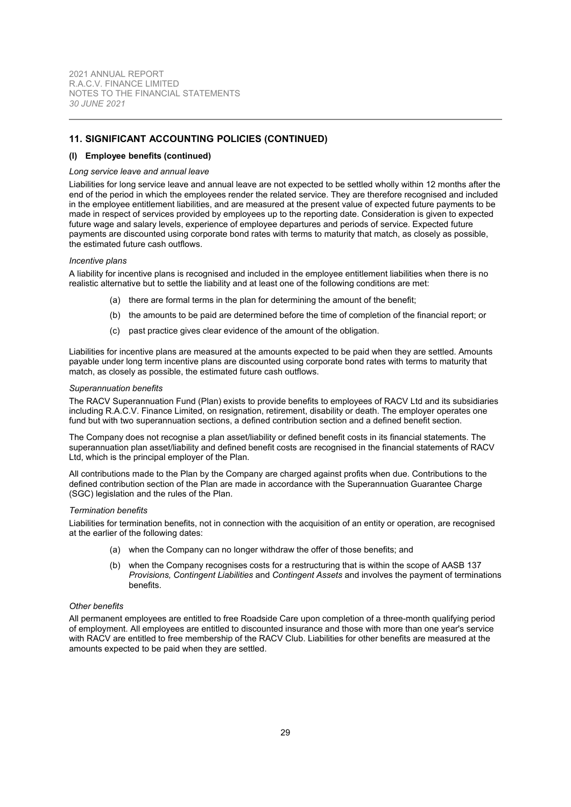## **11. SIGNIFICANT ACCOUNTING POLICIES (CONTINUED)**

#### **(l) Employee benefits (continued)**

#### *Long service leave and annual leave*

Liabilities for long service leave and annual leave are not expected to be settled wholly within 12 months after the end of the period in which the employees render the related service. They are therefore recognised and included in the employee entitlement liabilities, and are measured at the present value of expected future payments to be made in respect of services provided by employees up to the reporting date. Consideration is given to expected future wage and salary levels, experience of employee departures and periods of service. Expected future payments are discounted using corporate bond rates with terms to maturity that match, as closely as possible, the estimated future cash outflows.

#### *Incentive plans*

A liability for incentive plans is recognised and included in the employee entitlement liabilities when there is no realistic alternative but to settle the liability and at least one of the following conditions are met:

- (a) there are formal terms in the plan for determining the amount of the benefit;
- (b) the amounts to be paid are determined before the time of completion of the financial report; or
- (c) past practice gives clear evidence of the amount of the obligation.

Liabilities for incentive plans are measured at the amounts expected to be paid when they are settled. Amounts payable under long term incentive plans are discounted using corporate bond rates with terms to maturity that match, as closely as possible, the estimated future cash outflows.

#### *Superannuation benefits*

The RACV Superannuation Fund (Plan) exists to provide benefits to employees of RACV Ltd and its subsidiaries including R.A.C.V. Finance Limited, on resignation, retirement, disability or death. The employer operates one fund but with two superannuation sections, a defined contribution section and a defined benefit section.

The Company does not recognise a plan asset/liability or defined benefit costs in its financial statements. The superannuation plan asset/liability and defined benefit costs are recognised in the financial statements of RACV Ltd, which is the principal employer of the Plan.

All contributions made to the Plan by the Company are charged against profits when due. Contributions to the defined contribution section of the Plan are made in accordance with the Superannuation Guarantee Charge (SGC) legislation and the rules of the Plan.

#### *Termination benefits*

Liabilities for termination benefits, not in connection with the acquisition of an entity or operation, are recognised at the earlier of the following dates:

- (a) when the Company can no longer withdraw the offer of those benefits; and
- (b) when the Company recognises costs for a restructuring that is within the scope of AASB 137 *Provisions, Contingent Liabilities* and *Contingent Assets* and involves the payment of terminations benefits.

## *Other benefits*

All permanent employees are entitled to free Roadside Care upon completion of a three-month qualifying period of employment. All employees are entitled to discounted insurance and those with more than one year's service with RACV are entitled to free membership of the RACV Club. Liabilities for other benefits are measured at the amounts expected to be paid when they are settled.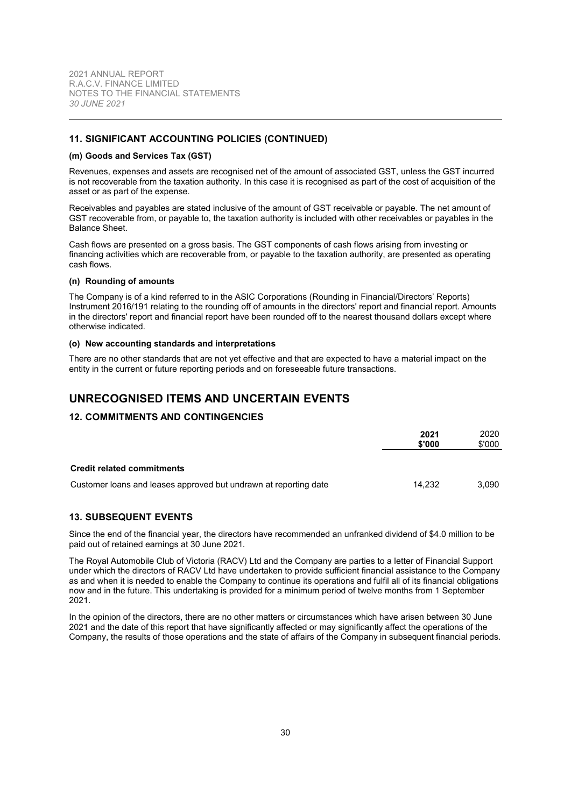## **11. SIGNIFICANT ACCOUNTING POLICIES (CONTINUED)**

#### **(m) Goods and Services Tax (GST)**

Revenues, expenses and assets are recognised net of the amount of associated GST, unless the GST incurred is not recoverable from the taxation authority. In this case it is recognised as part of the cost of acquisition of the asset or as part of the expense.

Receivables and payables are stated inclusive of the amount of GST receivable or payable. The net amount of GST recoverable from, or payable to, the taxation authority is included with other receivables or payables in the Balance Sheet.

Cash flows are presented on a gross basis. The GST components of cash flows arising from investing or financing activities which are recoverable from, or payable to the taxation authority, are presented as operating cash flows.

#### **(n) Rounding of amounts**

The Company is of a kind referred to in the ASIC Corporations (Rounding in Financial/Directors' Reports) Instrument 2016/191 relating to the rounding off of amounts in the directors' report and financial report. Amounts in the directors' report and financial report have been rounded off to the nearest thousand dollars except where otherwise indicated.

#### **(o) New accounting standards and interpretations**

There are no other standards that are not yet effective and that are expected to have a material impact on the entity in the current or future reporting periods and on foreseeable future transactions.

# <span id="page-30-0"></span>**UNRECOGNISED ITEMS AND UNCERTAIN EVENTS**

## **12. COMMITMENTS AND CONTINGENCIES**

|                                                                  | 2021<br>\$'000 | 2020<br>\$'000 |
|------------------------------------------------------------------|----------------|----------------|
| <b>Credit related commitments</b>                                |                |                |
| Customer loans and leases approved but undrawn at reporting date | 14.232         | 3.090          |

## <span id="page-30-1"></span>**13. SUBSEQUENT EVENTS**

Since the end of the financial year, the directors have recommended an unfranked dividend of \$4.0 million to be paid out of retained earnings at 30 June 2021.

The Royal Automobile Club of Victoria (RACV) Ltd and the Company are parties to a letter of Financial Support under which the directors of RACV Ltd have undertaken to provide sufficient financial assistance to the Company as and when it is needed to enable the Company to continue its operations and fulfil all of its financial obligations now and in the future. This undertaking is provided for a minimum period of twelve months from 1 September 2021.

In the opinion of the directors, there are no other matters or circumstances which have arisen between 30 June 2021 and the date of this report that have significantly affected or may significantly affect the operations of the Company, the results of those operations and the state of affairs of the Company in subsequent financial periods.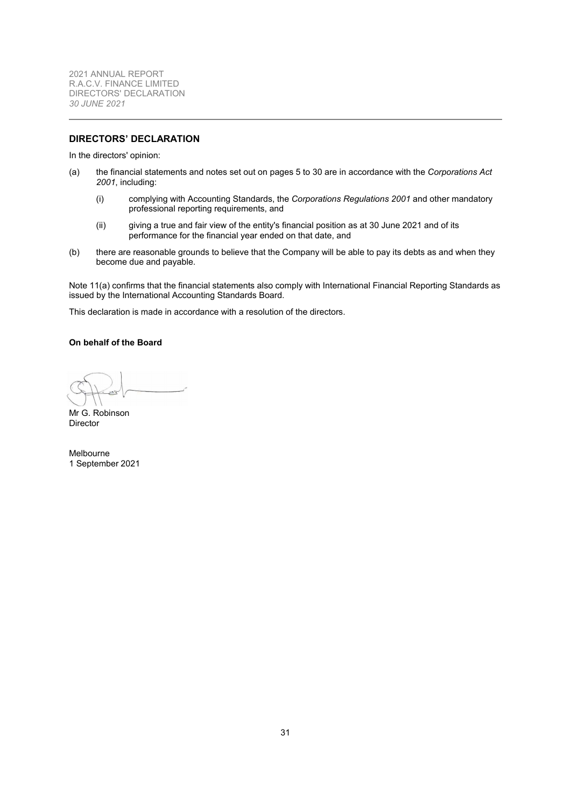<span id="page-31-0"></span>2021 ANNUAL REPORT R.A.C.V. FINANCE LIMITED DIRECTORS' DECLARATION *30 JUNE 2021*

## **DIRECTORS' DECLARATION**

In the directors' opinion:

- (a) the financial statements and notes set out on pages [5](#page-4-0) to [30](#page-9-0) are in accordance with the *Corporations Act 2001*, including:
	- (i) complying with Accounting Standards, the *Corporations Regulations 2001* and other mandatory professional reporting requirements, and
	- (ii) giving a true and fair view of the entity's financial position as at 30 June 2021 and of its performance for the financial year ended on that date, and
- (b) there are reasonable grounds to believe that the Company will be able to pay its debts as and when they become due and payable.

Note [11\(a\)](#page-25-1) confirms that the financial statements also comply with International Financial Reporting Standards as issued by the International Accounting Standards Board.

This declaration is made in accordance with a resolution of the directors.

## **On behalf of the Board**

Mr G. Robinson Director

Melbourne 1 September 2021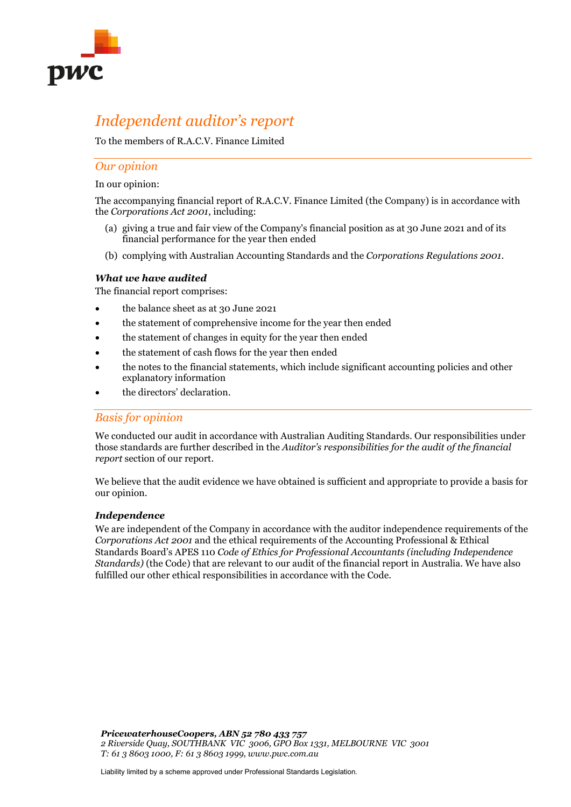

# *Independent auditor's report*

To the members of R.A.C.V. Finance Limited

## *Our opinion*

In our opinion:

The accompanying financial report of R.A.C.V. Finance Limited (the Company) is in accordance with the *Corporations Act 2001*, including:

- (a) giving a true and fair view of the Company's financial position as at 30 June 2021 and of its financial performance for the year then ended
- (b) complying with Australian Accounting Standards and the *Corporations Regulations 2001*.

## *What we have audited*

The financial report comprises:

- the balance sheet as at 30 June 2021
- the statement of comprehensive income for the year then ended
- the statement of changes in equity for the year then ended
- the statement of cash flows for the year then ended
- the notes to the financial statements, which include significant accounting policies and other explanatory information
- the directors' declaration.

# *Basis for opinion*

We conducted our audit in accordance with Australian Auditing Standards. Our responsibilities under those standards are further described in the *Auditor's responsibilities for the audit of the financial report* section of our report.

We believe that the audit evidence we have obtained is sufficient and appropriate to provide a basis for our opinion.

## *Independence*

We are independent of the Company in accordance with the auditor independence requirements of the *Corporations Act 2001* and the ethical requirements of the Accounting Professional & Ethical Standards Board's APES 110 *Code of Ethics for Professional Accountants (including Independence Standards)* (the Code) that are relevant to our audit of the financial report in Australia. We have also fulfilled our other ethical responsibilities in accordance with the Code.

*PricewaterhouseCoopers, ABN 52 780 433 757 2 Riverside Quay, SOUTHBANK VIC 3006, GPO Box 1331, MELBOURNE VIC 3001 T: 61 3 8603 1000, F: 61 3 8603 1999, www.pwc.com.au*

Liability limited by a scheme approved under Professional Standards Legislation.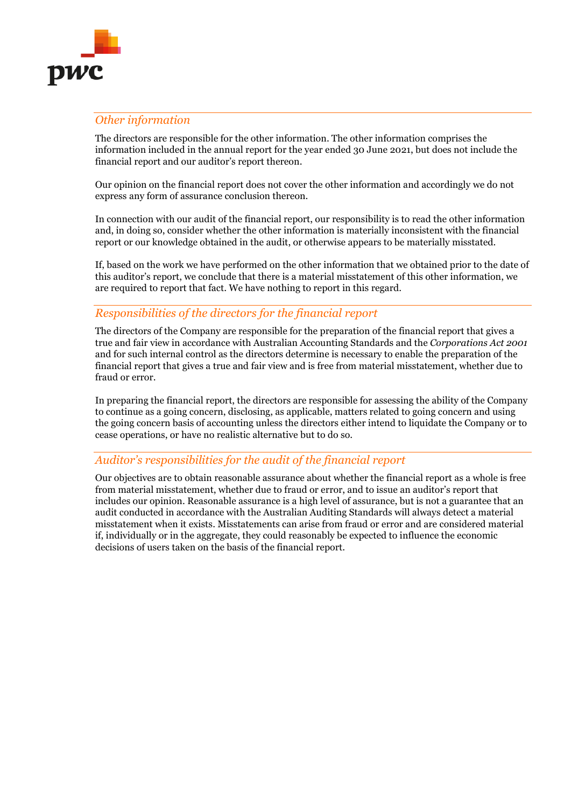

# *Other information*

The directors are responsible for the other information. The other information comprises the information included in the annual report for the year ended 30 June 2021, but does not include the financial report and our auditor's report thereon.

Our opinion on the financial report does not cover the other information and accordingly we do not express any form of assurance conclusion thereon.

In connection with our audit of the financial report, our responsibility is to read the other information and, in doing so, consider whether the other information is materially inconsistent with the financial report or our knowledge obtained in the audit, or otherwise appears to be materially misstated.

If, based on the work we have performed on the other information that we obtained prior to the date of this auditor's report, we conclude that there is a material misstatement of this other information, we are required to report that fact. We have nothing to report in this regard.

# *Responsibilities of the directors for the financial report*

The directors of the Company are responsible for the preparation of the financial report that gives a true and fair view in accordance with Australian Accounting Standards and the *Corporations Act 2001* and for such internal control as the directors determine is necessary to enable the preparation of the financial report that gives a true and fair view and is free from material misstatement, whether due to fraud or error.

In preparing the financial report, the directors are responsible for assessing the ability of the Company to continue as a going concern, disclosing, as applicable, matters related to going concern and using the going concern basis of accounting unless the directors either intend to liquidate the Company or to cease operations, or have no realistic alternative but to do so.

# *Auditor's responsibilities for the audit of the financial report*

Our objectives are to obtain reasonable assurance about whether the financial report as a whole is free from material misstatement, whether due to fraud or error, and to issue an auditor's report that includes our opinion. Reasonable assurance is a high level of assurance, but is not a guarantee that an audit conducted in accordance with the Australian Auditing Standards will always detect a material misstatement when it exists. Misstatements can arise from fraud or error and are considered material if, individually or in the aggregate, they could reasonably be expected to influence the economic decisions of users taken on the basis of the financial report.